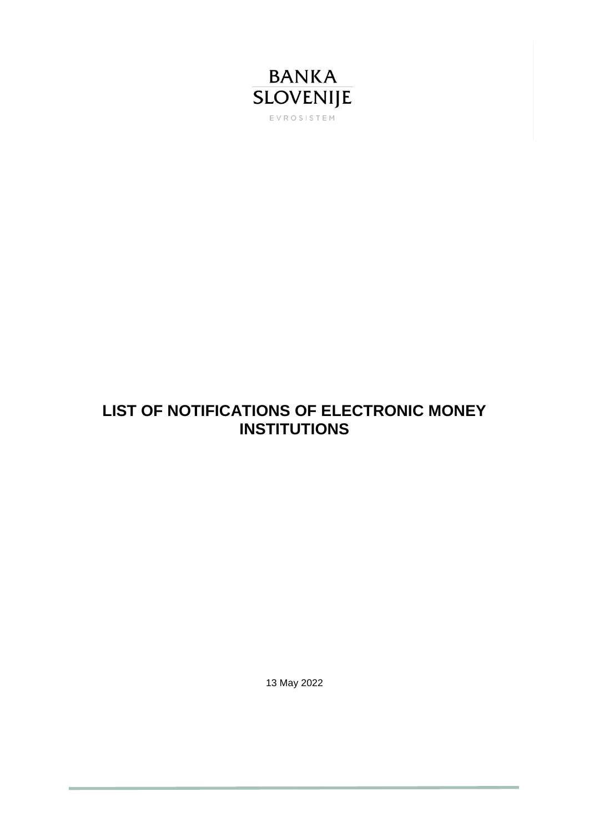

## **LIST OF NOTIFICATIONS OF ELECTRONIC MONEY INSTITUTIONS**

13 May 2022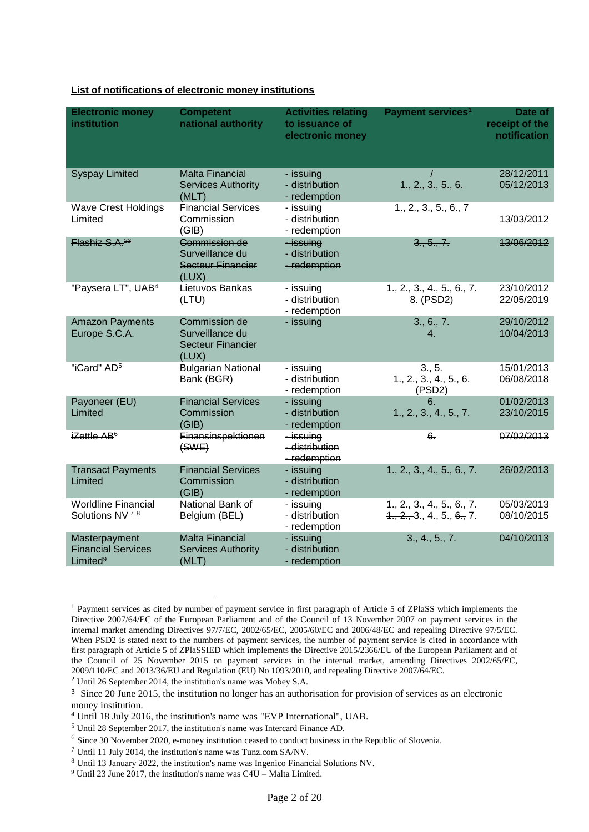| <b>Electronic money</b><br>institution                             | <b>Competent</b><br>national authority                                | <b>Activities relating</b><br>to issuance of<br>electronic money | Payment services <sup>1</sup>                      | Date of<br>receipt of the<br>notification |
|--------------------------------------------------------------------|-----------------------------------------------------------------------|------------------------------------------------------------------|----------------------------------------------------|-------------------------------------------|
| <b>Syspay Limited</b>                                              | <b>Malta Financial</b><br><b>Services Authority</b><br>(MLT)          | - issuing<br>- distribution<br>- redemption                      | 1., 2., 3., 5., 6.                                 | 28/12/2011<br>05/12/2013                  |
| <b>Wave Crest Holdings</b><br>Limited                              | <b>Financial Services</b><br>Commission<br>(GIB)                      | - issuing<br>- distribution<br>- redemption                      | 1., 2., 3., 5., 6., 7                              | 13/03/2012                                |
| Flashiz S.A. <sup>23</sup>                                         | Commission de<br>Surveillance du<br><b>Secteur Financier</b><br>(HUX) | $-i$ ssuing<br>- distribution<br>- redemption                    | 3., 5., 7.                                         | 13/06/2012                                |
| "Paysera LT", UAB <sup>4</sup>                                     | Lietuvos Bankas<br>(LTU)                                              | - issuing<br>- distribution<br>- redemption                      | 1., 2., 3., 4., 5., 6., 7.<br>8. (PSD2)            | 23/10/2012<br>22/05/2019                  |
| <b>Amazon Payments</b><br>Europe S.C.A.                            | Commission de<br>Surveillance du<br><b>Secteur Financier</b><br>(LUX) | - issuing                                                        | 3., 6., 7.<br>4.                                   | 29/10/2012<br>10/04/2013                  |
| "iCard" AD <sup>5</sup>                                            | <b>Bulgarian National</b><br>Bank (BGR)                               | - issuing<br>- distribution<br>- redemption                      | 3., 5.<br>1., 2., 3., 4., 5., 6.<br>(PSD2)         | 15/01/2013<br>06/08/2018                  |
| Payoneer (EU)<br>Limited                                           | <b>Financial Services</b><br>Commission<br>(GIB)                      | - issuing<br>- distribution<br>- redemption                      | 6.<br>1., 2., 3., 4., 5., 7.                       | 01/02/2013<br>23/10/2015                  |
| iZettle AB <sup>6</sup>                                            | Finansinspektionen<br>(SWE)                                           | -issuing<br>- distribution<br>-redemption                        | 6.                                                 | 07/02/2013                                |
| <b>Transact Payments</b><br>Limited                                | <b>Financial Services</b><br>Commission<br>(GIB)                      | - issuing<br>- distribution<br>- redemption                      | 1., 2., 3., 4., 5., 6., 7.                         | 26/02/2013                                |
| <b>Worldline Financial</b><br>Solutions NV <sup>78</sup>           | National Bank of<br>Belgium (BEL)                                     | - issuing<br>- distribution<br>- redemption                      | 1., 2., 3., 4., 5., 6., 7.<br>1, 2, 3, 4, 5, 6, 7. | 05/03/2013<br>08/10/2015                  |
| Masterpayment<br><b>Financial Services</b><br>Limited <sup>9</sup> | <b>Malta Financial</b><br><b>Services Authority</b><br>(MLT)          | - issuing<br>- distribution<br>- redemption                      | 3., 4., 5., 7.                                     | 04/10/2013                                |

## **List of notifications of electronic money institutions**

-

<sup>&</sup>lt;sup>1</sup> Payment services as cited by number of payment service in first paragraph of Article 5 of ZPlaSS which implements the Directive 2007/64/EC of the European Parliament and of the Council of 13 November 2007 on payment services in the internal market amending Directives 97/7/EC, 2002/65/EC, 2005/60/EC and 2006/48/EC and repealing Directive 97/5/EC. When PSD2 is stated next to the numbers of payment services, the number of payment service is cited in accordance with first paragraph of Article 5 of ZPlaSSIED which implements the Directive 2015/2366/EU of the European Parliament and of the Council of 25 November 2015 on payment services in the internal market, amending Directives 2002/65/EC, 2009/110/EC and 2013/36/EU and Regulation (EU) No 1093/2010, and repealing Directive 2007/64/EC.

<sup>2</sup> Until 26 September 2014, the institution's name was Mobey S.A.

<sup>&</sup>lt;sup>3</sup> Since 20 June 2015, the institution no longer has an authorisation for provision of services as an electronic money institution.

<sup>4</sup> Until 18 July 2016, the institution's name was "EVP International", UAB.

<sup>5</sup> Until 28 September 2017, the institution's name was Intercard Finance AD.

<sup>&</sup>lt;sup>6</sup> Since 30 November 2020, e-money institution ceased to conduct business in the Republic of Slovenia.

<sup>7</sup> Until 11 July 2014, the institution's name was Tunz.com SA/NV.

<sup>8</sup> Until 13 January 2022, the institution's name was Ingenico Financial Solutions NV.

 $9$  Until 23 June 2017, the institution's name was C4U – Malta Limited.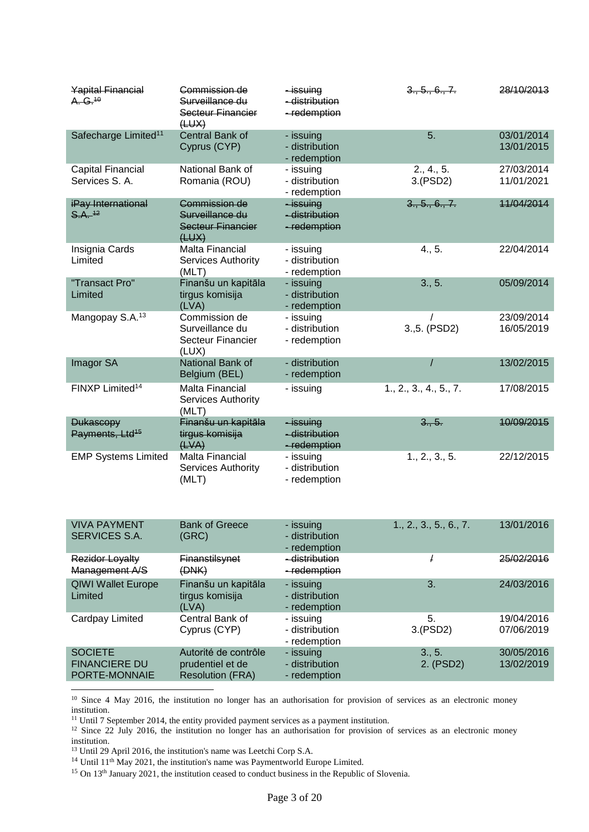| <b>Yapital Financial</b><br>A. G. <sup>10</sup> | Commission de<br>Surveillance du<br>Secteur Financier<br>(HUX) | issuing<br>-distribution<br>-redemption       | 3., 5., 6., 7.         | 28/10/2013               |
|-------------------------------------------------|----------------------------------------------------------------|-----------------------------------------------|------------------------|--------------------------|
| Safecharge Limited <sup>11</sup>                | <b>Central Bank of</b><br>Cyprus (CYP)                         | - issuing<br>- distribution<br>- redemption   | 5.                     | 03/01/2014<br>13/01/2015 |
| <b>Capital Financial</b><br>Services S. A.      | National Bank of<br>Romania (ROU)                              | - issuing<br>- distribution<br>- redemption   | 2., 4., 5.<br>3.(PSD2) | 27/03/2014<br>11/01/2021 |
| iPay International<br>$S.A.$ <sup>42</sup>      | Commission de<br>Surveillance du<br>Secteur Financier<br>(HUX) | $-i$ ssuing<br>- distribution<br>- redemption | 3., 5., 6., 7.         | 11/04/2014               |
| Insignia Cards<br>Limited                       | Malta Financial<br>Services Authority<br>(MLT)                 | - issuing<br>- distribution<br>- redemption   | 4., 5.                 | 22/04/2014               |
| "Transact Pro"<br>Limited                       | Finanšu un kapitāla<br>tirgus komisija<br>(LVA)                | - issuing<br>- distribution<br>- redemption   | 3., 5.                 | 05/09/2014               |
| Mangopay S.A. <sup>13</sup>                     | Commission de<br>Surveillance du<br>Secteur Financier<br>(LUX) | - issuing<br>- distribution<br>- redemption   | 3.,5. (PSD2)           | 23/09/2014<br>16/05/2019 |
| Imagor SA                                       | National Bank of<br>Belgium (BEL)                              | - distribution<br>- redemption                |                        | 13/02/2015               |
| FINXP Limited <sup>14</sup>                     | Malta Financial<br>Services Authority<br>(MLT)                 | - issuing                                     | 1., 2., 3., 4., 5., 7. | 17/08/2015               |
| <b>Dukascopy</b><br>Payments, Ltd <sup>15</sup> | Finanšu un kapitāla<br>tirgus komisija<br>(LVA)                | - issuing<br>- distribution<br>- redemption   | 3., 5.                 | 10/09/2015               |
| <b>EMP Systems Limited</b>                      | Malta Financial<br>Services Authority<br>(MLT)                 | - issuing<br>- distribution<br>- redemption   | 1., 2., 3., 5.         | 22/12/2015               |

| <b>VIVA PAYMENT</b><br><b>SERVICES S.A.</b>             | <b>Bank of Greece</b><br>(GRC)                                      | - issuing<br>- distribution<br>- redemption | 1., 2., 3., 5., 6., 7. | 13/01/2016               |
|---------------------------------------------------------|---------------------------------------------------------------------|---------------------------------------------|------------------------|--------------------------|
| <b>Rezidor Loyalty</b><br>Management A/S                | <b>Finanstilsynet</b><br>(DNK)                                      | - distribution<br>- redemption              |                        | 25/02/2016               |
| <b>QIWI Wallet Europe</b><br>Limited                    | Finanšu un kapitāla<br>tirgus komisija<br>(LVA)                     | - issuing<br>- distribution<br>- redemption | 3.                     | 24/03/2016               |
| Cardpay Limited                                         | Central Bank of<br>Cyprus (CYP)                                     | - issuing<br>- distribution<br>- redemption | 5.<br>3.(PSD2)         | 19/04/2016<br>07/06/2019 |
| <b>SOCIETE</b><br><b>FINANCIERE DU</b><br>PORTE-MONNAIE | Autorité de contrôle<br>prudentiel et de<br><b>Resolution (FRA)</b> | - issuing<br>- distribution<br>- redemption | 3., 5.<br>2. (PSD2)    | 30/05/2016<br>13/02/2019 |

<sup>10</sup> Since 4 May 2016, the institution no longer has an authorisation for provision of services as an electronic money institution.

<sup>11</sup> Until 7 September 2014, the entity provided payment services as a payment institution.

<sup>12</sup> Since 22 July 2016, the institution no longer has an authorisation for provision of services as an electronic money institution.

<sup>13</sup> Until 29 April 2016, the institution's name was Leetchi Corp S.A.

-

<sup>14</sup> Until 11<sup>th</sup> May 2021, the institution's name was Paymentworld Europe Limited.

<sup>15</sup> On 13<sup>th</sup> January 2021, the institution ceased to conduct business in the Republic of Slovenia.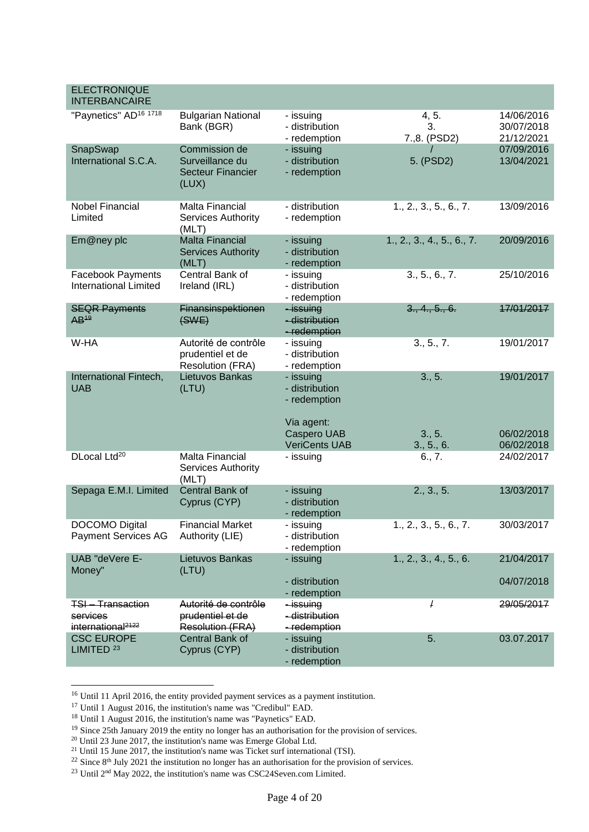| <b>ELECTRONIQUE</b><br><b>INTERBANCAIRE</b>                         |                                                                       |                                                                                                  |                                |                                        |
|---------------------------------------------------------------------|-----------------------------------------------------------------------|--------------------------------------------------------------------------------------------------|--------------------------------|----------------------------------------|
| "Paynetics" AD <sup>16 1718</sup>                                   | <b>Bulgarian National</b><br>Bank (BGR)                               | - issuing<br>- distribution<br>- redemption                                                      | 4, 5.<br>3.<br>7.,8. (PSD2)    | 14/06/2016<br>30/07/2018<br>21/12/2021 |
| SnapSwap<br>International S.C.A.                                    | Commission de<br>Surveillance du<br><b>Secteur Financier</b><br>(LUX) | - issuing<br>- distribution<br>- redemption                                                      | 5. (PSD2)                      | 07/09/2016<br>13/04/2021               |
| <b>Nobel Financial</b><br>Limited                                   | <b>Malta Financial</b><br>Services Authority<br>(MLT)                 | - distribution<br>- redemption                                                                   | 1., 2., 3., 5., 6., 7.         | 13/09/2016                             |
| Em@ney plc                                                          | <b>Malta Financial</b><br><b>Services Authority</b><br>(MLT)          | - issuing<br>- distribution<br>- redemption                                                      | 1., 2., 3., 4., 5., 6., 7.     | 20/09/2016                             |
| <b>Facebook Payments</b><br><b>International Limited</b>            | Central Bank of<br>Ireland (IRL)                                      | - issuing<br>- distribution<br>- redemption                                                      | 3., 5., 6., 7.                 | 25/10/2016                             |
| <b>SEQR Payments</b><br>$AB^{49}$                                   | Finansinspektionen<br>(SWE)                                           | -issuing<br>- distribution<br>- redemption                                                       | 3., 4., 5., 6.                 | 17/01/2017                             |
| W-HA                                                                | Autorité de contrôle<br>prudentiel et de<br><b>Resolution (FRA)</b>   | - issuing<br>- distribution<br>- redemption                                                      | 3., 5., 7.                     | 19/01/2017                             |
| International Fintech,<br><b>UAB</b>                                | Lietuvos Bankas<br>(LTU)                                              | - issuing<br>- distribution<br>- redemption<br>Via agent:<br>Caspero UAB<br><b>VeriCents UAB</b> | 3., 5.<br>3., 5.<br>3., 5., 6. | 19/01/2017<br>06/02/2018<br>06/02/2018 |
| DLocal Ltd <sup>20</sup>                                            | <b>Malta Financial</b><br>Services Authority<br>(MLT)                 | - issuing                                                                                        | 6., 7.                         | 24/02/2017                             |
| Sepaga E.M.I. Limited                                               | Central Bank of<br>Cyprus (CYP)                                       | - issuing<br>- distribution<br>- redemption                                                      | 2., 3., 5.                     | 13/03/2017                             |
| <b>DOCOMO Digital</b><br><b>Payment Services AG</b>                 | <b>Financial Market</b><br>Authority (LIE)                            | - issuing<br>- distribution<br>- redemption                                                      | 1., 2., 3., 5., 6., 7.         | 30/03/2017                             |
| UAB "deVere E-<br>Money"                                            | Lietuvos Bankas<br>(LTU)                                              | - issuing<br>- distribution<br>- redemption                                                      | 1., 2., 3., 4., 5., 6.         | 21/04/2017<br>04/07/2018               |
| <b>TSI-Transaction</b><br>services<br>international <sup>2122</sup> | Autorité de contrôle<br>prudentiel et de<br><b>Resolution (FRA)</b>   | -issuing<br>- distribution<br>-redemption                                                        | T                              | 29/05/2017                             |
| <b>CSC EUROPE</b><br>LIMITED <sup>23</sup>                          | Central Bank of<br>Cyprus (CYP)                                       | - issuing<br>- distribution<br>- redemption                                                      | 5.                             | 03.07.2017                             |

<sup>&</sup>lt;sup>16</sup> Until 11 April 2016, the entity provided payment services as a payment institution.

<sup>&</sup>lt;sup>17</sup> Until 1 August 2016, the institution's name was "Credibul" EAD.

<sup>18</sup> Until 1 August 2016, the institution's name was "Paynetics" EAD.

<sup>&</sup>lt;sup>19</sup> Since 25th January 2019 the entity no longer has an authorisation for the provision of services.

 $20$  Until 23 June 2017, the institution's name was Emerge Global Ltd.

 $21$  Until 15 June 2017, the institution's name was Ticket surf international (TSI).

 $^{22}$  Since 8<sup>th</sup> July 2021 the institution no longer has an authorisation for the provision of services.

 $^{23}$  Until  $2<sup>nd</sup>$  May 2022, the institution's name was CSC24Seven.com Limited.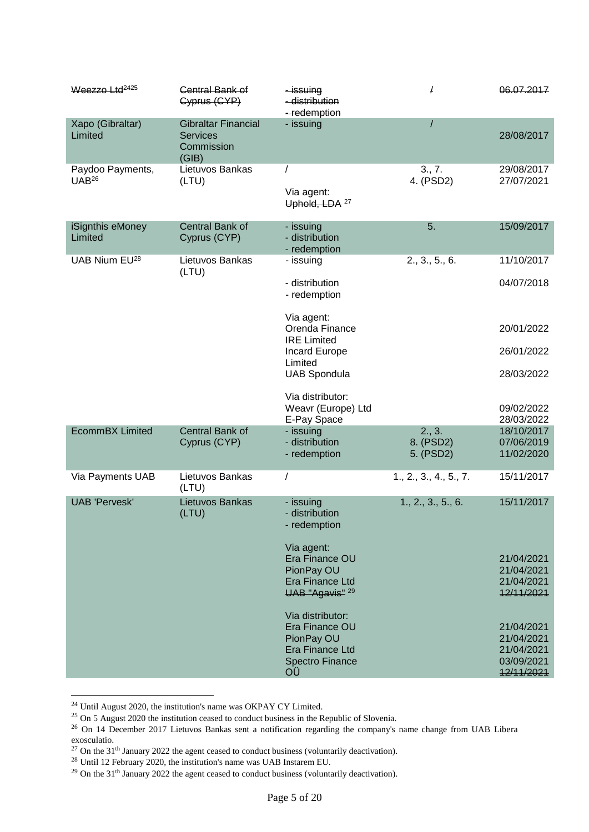| Weezzo Ltd <sup>2425</sup>            | Central Bank of<br>Cyprus (CYP)                                      | -issuing<br>- distribution<br>-redemption             | T                      | 06.07.2017               |
|---------------------------------------|----------------------------------------------------------------------|-------------------------------------------------------|------------------------|--------------------------|
| Xapo (Gibraltar)<br>Limited           | <b>Gibraltar Financial</b><br><b>Services</b><br>Commission<br>(GIB) | - issuing                                             |                        | 28/08/2017               |
| Paydoo Payments,<br>UAB <sup>26</sup> | Lietuvos Bankas<br>(LTU)                                             | Via agent:<br>Uphold, LDA <sup>27</sup>               | 3., 7.<br>4. (PSD2)    | 29/08/2017<br>27/07/2021 |
| iSignthis eMoney<br>Limited           | Central Bank of<br>Cyprus (CYP)                                      | - issuing<br>- distribution<br>- redemption           | 5.                     | 15/09/2017               |
| UAB Nium EU <sup>28</sup>             | Lietuvos Bankas                                                      | - issuing                                             | 2., 3., 5., 6.         | 11/10/2017               |
|                                       | (LTU)                                                                | - distribution<br>- redemption                        |                        | 04/07/2018               |
|                                       |                                                                      | Via agent:<br>Orenda Finance<br><b>IRE Limited</b>    |                        | 20/01/2022               |
|                                       |                                                                      | Incard Europe<br>Limited                              |                        | 26/01/2022               |
|                                       |                                                                      | <b>UAB Spondula</b>                                   |                        | 28/03/2022               |
|                                       |                                                                      | Via distributor:<br>Weavr (Europe) Ltd<br>E-Pay Space |                        | 09/02/2022<br>28/03/2022 |
| <b>EcommBX Limited</b>                | Central Bank of                                                      | - issuing                                             | 2., 3.                 | 18/10/2017               |
|                                       | Cyprus (CYP)                                                         | - distribution<br>- redemption                        | 8. (PSD2)<br>5. (PSD2) | 07/06/2019<br>11/02/2020 |
| Via Payments UAB                      | Lietuvos Bankas<br>(LTU)                                             | $\prime$                                              | 1., 2., 3., 4., 5., 7. | 15/11/2017               |
| <b>UAB 'Pervesk'</b>                  | Lietuvos Bankas<br>(LTU)                                             | - issuing<br>- distribution<br>- redemption           | 1., 2., 3., 5., 6.     | 15/11/2017               |
|                                       |                                                                      | Via agent:<br>Era Finance OU                          |                        | 21/04/2021               |
|                                       |                                                                      | PionPay OU                                            |                        | 21/04/2021               |
|                                       |                                                                      | Era Finance Ltd<br>UAB "Agavis" <sup>29</sup>         |                        | 21/04/2021<br>12/11/2021 |
|                                       |                                                                      | Via distributor:<br>Era Finance OU                    |                        | 21/04/2021               |
|                                       |                                                                      | PionPay OU                                            |                        | 21/04/2021               |
|                                       |                                                                      | Era Finance Ltd                                       |                        | 21/04/2021               |
|                                       |                                                                      | <b>Spectro Finance</b><br>ΟÜ                          |                        | 03/09/2021<br>12/11/2021 |

 $24$  Until August 2020, the institution's name was OKPAY CY Limited.

 $25$  On 5 August 2020 the institution ceased to conduct business in the Republic of Slovenia.

<sup>&</sup>lt;sup>26</sup> On 14 December 2017 Lietuvos Bankas sent a notification regarding the company's name change from UAB Libera exosculatio.

 $^{27}$  On the 31<sup>th</sup> January 2022 the agent ceased to conduct business (voluntarily deactivation).

 $28$  Until 12 February 2020, the institution's name was UAB Instarem EU.

 $^{29}$  On the 31<sup>th</sup> January 2022 the agent ceased to conduct business (voluntarily deactivation).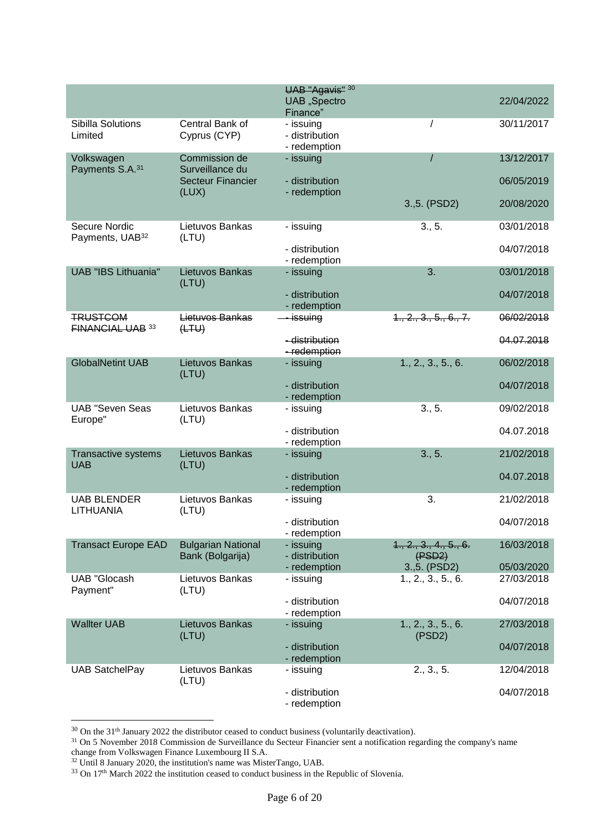|                                              |                                                      | UAB "Agavis" 30<br>UAB "Spectro             |                                  | 22/04/2022 |
|----------------------------------------------|------------------------------------------------------|---------------------------------------------|----------------------------------|------------|
|                                              |                                                      | Finance"                                    |                                  |            |
| Sibilla Solutions<br>Limited                 | Central Bank of<br>Cyprus (CYP)                      | - issuing<br>- distribution<br>- redemption |                                  | 30/11/2017 |
| Volkswagen                                   | Commission de                                        | - issuing                                   | $\prime$                         | 13/12/2017 |
| Payments S.A. <sup>31</sup>                  | Surveillance du<br><b>Secteur Financier</b><br>(LUX) | - distribution<br>- redemption              |                                  | 06/05/2019 |
|                                              |                                                      |                                             | 3., 5. (PSD2)                    | 20/08/2020 |
| Secure Nordic<br>Payments, UAB <sup>32</sup> | Lietuvos Bankas<br>(LTU)                             | - issuing                                   | 3., 5.                           | 03/01/2018 |
|                                              |                                                      | - distribution<br>- redemption              |                                  | 04/07/2018 |
| <b>UAB "IBS Lithuania"</b>                   | Lietuvos Bankas<br>(LTU)                             | - issuing                                   | 3.                               | 03/01/2018 |
|                                              |                                                      | - distribution<br>- redemption              |                                  | 04/07/2018 |
| <b>TRUSTCOM</b><br><b>FINANCIAL UAB 33</b>   | Lietuvos Bankas<br>(HTH)                             | <u>- issuing</u>                            | 1., 2., 3., 5., 6., 7.           | 06/02/2018 |
|                                              |                                                      | - distribution<br>-redemption               |                                  | 04.07.2018 |
| <b>GlobalNetint UAB</b>                      | Lietuvos Bankas<br>(LTU)                             | - issuing                                   | 1., 2., 3., 5., 6.               | 06/02/2018 |
|                                              |                                                      | - distribution<br>- redemption              |                                  | 04/07/2018 |
| <b>UAB "Seven Seas</b><br>Europe"            | Lietuvos Bankas<br>(LTU)                             | - issuing                                   | 3., 5.                           | 09/02/2018 |
|                                              |                                                      | - distribution<br>- redemption              |                                  | 04.07.2018 |
| Transactive systems<br><b>UAB</b>            | Lietuvos Bankas<br>(LTU)                             | - issuing                                   | 3., 5.                           | 21/02/2018 |
|                                              |                                                      | - distribution<br>- redemption              |                                  | 04.07.2018 |
| <b>UAB BLENDER</b><br>LITHUANIA              | Lietuvos Bankas<br>(LTU)                             | - issuing                                   | 3.                               | 21/02/2018 |
|                                              |                                                      | - distribution<br>- redemption              |                                  | 04/07/2018 |
| <b>Transact Europe EAD</b>                   | <b>Bulgarian National</b><br>Bank (Bolgarija)        | - issuing<br>- distribution                 | 1., 2., 3., 4., 5., 6.<br>(FSD2) | 16/03/2018 |
|                                              |                                                      | - redemption                                | 3., 5. (PSD2)                    | 05/03/2020 |
| <b>UAB "Glocash</b><br>Payment"              | Lietuvos Bankas<br>(LTU)                             | - issuing                                   | 1., 2., 3., 5., 6.               | 27/03/2018 |
|                                              |                                                      | - distribution<br>- redemption              |                                  | 04/07/2018 |
| <b>Wallter UAB</b>                           | Lietuvos Bankas<br>(LTU)                             | - issuing                                   | 1., 2., 3., 5., 6.<br>(PSD2)     | 27/03/2018 |
|                                              |                                                      | - distribution<br>- redemption              |                                  | 04/07/2018 |
| <b>UAB SatchelPay</b>                        | Lietuvos Bankas<br>(LTU)                             | - issuing                                   | 2., 3., 5.                       | 12/04/2018 |
|                                              |                                                      | - distribution<br>- redemption              |                                  | 04/07/2018 |

 $30$  On the 31<sup>th</sup> January 2022 the distributor ceased to conduct business (voluntarily deactivation).

<sup>&</sup>lt;sup>31</sup> On 5 November 2018 Commission de Surveillance du Secteur Financier sent a notification regarding the company's name

change from Volkswagen Finance Luxembourg II S.A.

<sup>&</sup>lt;sup>32</sup> Until 8 January 2020, the institution's name was MisterTango, UAB.

 $33$  On 17<sup>th</sup> March 2022 the institution ceased to conduct business in the Republic of Slovenia.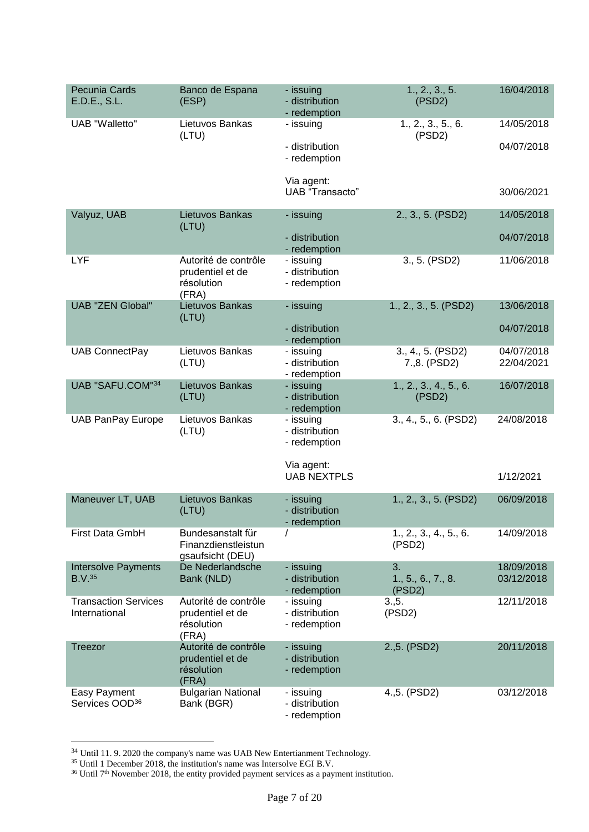| Pecunia Cards<br>E.D.E., S.L.                | Banco de Espana<br>(ESP)                                        | - issuing<br>- distribution<br>- redemption | 1., 2., 3., 5.<br>(PSD2)           | 16/04/2018               |
|----------------------------------------------|-----------------------------------------------------------------|---------------------------------------------|------------------------------------|--------------------------|
| <b>UAB</b> "Walletto"                        | Lietuvos Bankas<br>(LTU)                                        | - issuing                                   | 1., 2., 3., 5., 6.<br>(PSD2)       | 14/05/2018               |
|                                              |                                                                 | - distribution<br>- redemption              |                                    | 04/07/2018               |
|                                              |                                                                 | Via agent:<br><b>UAB</b> "Transacto"        |                                    | 30/06/2021               |
| Valyuz, UAB                                  | Lietuvos Bankas                                                 | - issuing                                   | 2., 3., 5. (PSD2)                  | 14/05/2018               |
|                                              | (LTU)                                                           | - distribution<br>- redemption              |                                    | 04/07/2018               |
| LYF                                          | Autorité de contrôle<br>prudentiel et de<br>résolution<br>(FRA) | - issuing<br>- distribution<br>- redemption | 3., 5. (PSD2)                      | 11/06/2018               |
| <b>UAB "ZEN Global"</b>                      | Lietuvos Bankas<br>(LTU)                                        | - issuing                                   | 1., 2., 3., 5. (PSD2)              | 13/06/2018               |
|                                              |                                                                 | - distribution<br>- redemption              |                                    | 04/07/2018               |
| <b>UAB ConnectPay</b>                        | Lietuvos Bankas<br>(LTU)                                        | - issuing<br>- distribution<br>- redemption | 3., 4., 5. (PSD2)<br>7.,8. (PSD2)  | 04/07/2018<br>22/04/2021 |
| UAB "SAFU.COM"34                             | Lietuvos Bankas<br>(LTU)                                        | - issuing<br>- distribution<br>- redemption | 1., 2., 3., 4., 5., 6.<br>(PSD2)   | 16/07/2018               |
| <b>UAB PanPay Europe</b>                     | Lietuvos Bankas<br>(LTU)                                        | - issuing<br>- distribution<br>- redemption | 3., 4., 5., 6. (PSD2)              | 24/08/2018               |
|                                              |                                                                 | Via agent:<br><b>UAB NEXTPLS</b>            |                                    | 1/12/2021                |
| Maneuver LT, UAB                             | Lietuvos Bankas<br>(LTU)                                        | - issuing<br>- distribution<br>- redemption | 1., 2., 3., 5. (PSD2)              | 06/09/2018               |
| First Data GmbH                              | Bundesanstalt für<br>Finanzdienstleistun<br>gsaufsicht (DEU)    |                                             | 1., 2., 3., 4., 5., 6.<br>(PSD2)   | 14/09/2018               |
| <b>Intersolve Payments</b><br>B.V.35         | De Nederlandsche<br>Bank (NLD)                                  | - issuing<br>- distribution<br>- redemption | 3.<br>1., 5., 6., 7., 8.<br>(PSD2) | 18/09/2018<br>03/12/2018 |
| <b>Transaction Services</b><br>International | Autorité de contrôle<br>prudentiel et de<br>résolution<br>(FRA) | - issuing<br>- distribution<br>- redemption | 3.5.<br>(PSD2)                     | 12/11/2018               |
| Treezor                                      | Autorité de contrôle<br>prudentiel et de<br>résolution<br>(FRA) | - issuing<br>- distribution<br>- redemption | 2.,5. (PSD2)                       | 20/11/2018               |
| Easy Payment<br>Services OOD <sup>36</sup>   | <b>Bulgarian National</b><br>Bank (BGR)                         | - issuing<br>- distribution<br>- redemption | 4.,5. (PSD2)                       | 03/12/2018               |

 $34$  Until 11.9. 2020 the company's name was UAB New Entertianment Technology.

<sup>&</sup>lt;sup>35</sup> Until 1 December 2018, the institution's name was Intersolve EGI B.V.

 $36$  Until  $7<sup>th</sup>$  November 2018, the entity provided payment services as a payment institution.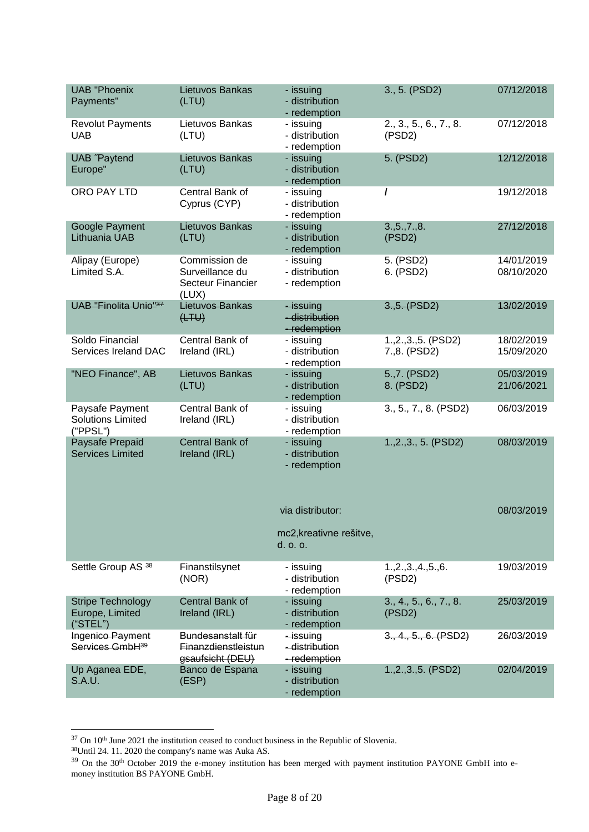| <b>UAB "Phoenix</b><br>Payments"                        | Lietuvos Bankas<br>(LTU)                                              | - issuing<br>- distribution<br>- redemption             | 3., 5. (PSD2)                         | 07/12/2018               |
|---------------------------------------------------------|-----------------------------------------------------------------------|---------------------------------------------------------|---------------------------------------|--------------------------|
| <b>Revolut Payments</b><br><b>UAB</b>                   | Lietuvos Bankas<br>(LTU)                                              | - issuing<br>- distribution<br>- redemption             | 2., 3., 5., 6., 7., 8.<br>(PSD2)      | 07/12/2018               |
| <b>UAB</b> "Paytend<br>Europe"                          | Lietuvos Bankas<br>(LTU)                                              | - issuing<br>- distribution<br>- redemption             | 5. (PSD2)                             | 12/12/2018               |
| ORO PAY LTD                                             | Central Bank of<br>Cyprus (CYP)                                       | - issuing<br>- distribution<br>- redemption             |                                       | 19/12/2018               |
| Google Payment<br>Lithuania UAB                         | Lietuvos Bankas<br>(LTU)                                              | - issuing<br>- distribution<br>- redemption             | 3., 5., 7., 8.<br>(PSD2)              | 27/12/2018               |
| Alipay (Europe)<br>Limited S.A.                         | Commission de<br>Surveillance du<br><b>Secteur Financier</b><br>(LUX) | - issuing<br>- distribution<br>- redemption             | 5. (PSD2)<br>6. (PSD2)                | 14/01/2019<br>08/10/2020 |
| <b>UAB "Finolita Unio"37</b>                            | Lietuvos Bankas<br>(HTW)                                              | -issuing<br>- distribution<br>- redemption              | 3.,5. (PSD2)                          | 13/02/2019               |
| Soldo Financial<br>Services Ireland DAC                 | Central Bank of<br>Ireland (IRL)                                      | - issuing<br>- distribution<br>- redemption             | 1., 2., 3., 5. (PSD2)<br>7.,8. (PSD2) | 18/02/2019<br>15/09/2020 |
| "NEO Finance", AB                                       | Lietuvos Bankas<br>(LTU)                                              | - issuing<br>- distribution<br>- redemption             | 5.,7. (PSD2)<br>8. (PSD2)             | 05/03/2019<br>21/06/2021 |
| Paysafe Payment<br><b>Solutions Limited</b><br>("PPSL") | Central Bank of<br>Ireland (IRL)                                      | - issuing<br>- distribution<br>- redemption             | 3., 5., 7., 8. (PSD2)                 | 06/03/2019               |
| Paysafe Prepaid<br><b>Services Limited</b>              | Central Bank of<br>Ireland (IRL)                                      | - issuing<br>- distribution<br>- redemption             | 1., 2., 3., 5. (PSD2)                 | 08/03/2019               |
|                                                         |                                                                       | via distributor:<br>mc2, kreativne rešitve,<br>d. o. o. |                                       | 08/03/2019               |
| Settle Group AS <sup>38</sup>                           | Finanstilsynet<br>(NOR)                                               | - issuing<br>- distribution<br>- redemption             | 1.,2.,3.,4.,5.,6.<br>(PSD2)           | 19/03/2019               |
| <b>Stripe Technology</b><br>Europe, Limited<br>("STEL") | Central Bank of<br>Ireland (IRL)                                      | - issuing<br>- distribution<br>- redemption             | 3., 4., 5., 6., 7., 8.<br>(PSD2)      | 25/03/2019               |
| Ingenico Payment<br>Services GmbH <sup>39</sup>         | Bundesanstalt für<br><b>Finanzdienstleistun</b><br>gsaufsicht (DEU)   | -issuing<br>- distribution<br>- redemption              | 3., 4., 5., 6. (PSD2)                 | 26/03/2019               |
| Up Aganea EDE,<br>S.A.U.                                | Banco de Espana<br>(ESP)                                              | - issuing<br>- distribution<br>- redemption             | $1.,2.,3.,5.$ (PSD2)                  | 02/04/2019               |

 $37$  On  $10<sup>th</sup>$  June 2021 the institution ceased to conduct business in the Republic of Slovenia.

-

<sup>38</sup>Until 24. 11. 2020 the company's name was Auka AS.

 $39$  On the 30<sup>th</sup> October 2019 the e-money institution has been merged with payment institution PAYONE GmbH into emoney institution BS PAYONE GmbH.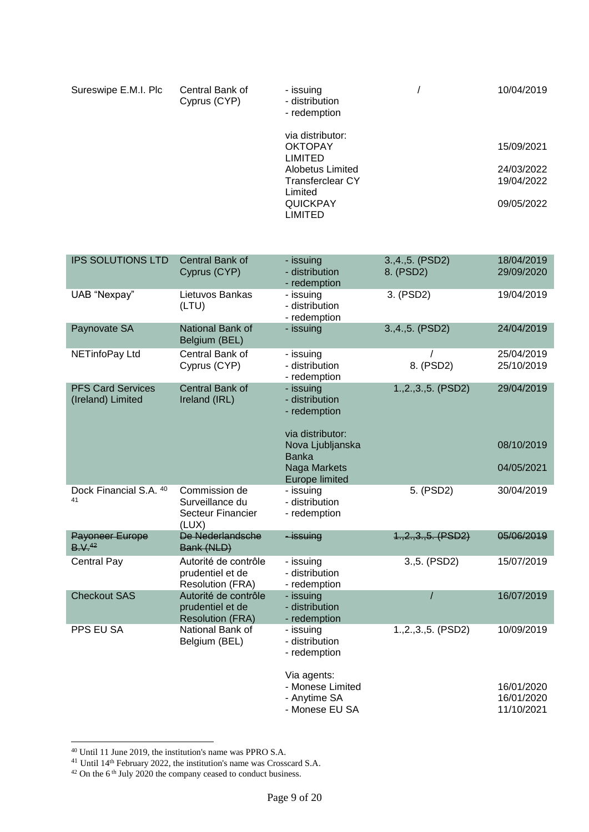| Sureswipe E.M.I. Plc | Central Bank of<br>Cyprus (CYP) | - issuing<br>- distribution<br>- redemption          | 10/04/2019 |
|----------------------|---------------------------------|------------------------------------------------------|------------|
|                      |                                 | via distributor:<br><b>OKTOPAY</b><br><b>LIMITED</b> | 15/09/2021 |
|                      |                                 | Alobetus Limited                                     | 24/03/2022 |
|                      |                                 | <b>Transferclear CY</b>                              | 19/04/2022 |
|                      |                                 | Limited                                              |            |
|                      |                                 | <b>QUICKPAY</b>                                      | 09/05/2022 |
|                      |                                 | LIMITED                                              |            |

| <b>IPS SOLUTIONS LTD</b>                      | Central Bank of<br>Cyprus (CYP)                                       | - issuing<br>- distribution<br>- redemption                | 3., 4., 5. (PSD2)<br>8. (PSD2) | 18/04/2019<br>29/09/2020               |
|-----------------------------------------------|-----------------------------------------------------------------------|------------------------------------------------------------|--------------------------------|----------------------------------------|
| UAB "Nexpay"                                  | Lietuvos Bankas<br>(LTU)                                              | - issuing<br>- distribution<br>- redemption                | 3. (PSD2)                      | 19/04/2019                             |
| Paynovate SA                                  | National Bank of<br>Belgium (BEL)                                     | - issuing                                                  | 3., 4., 5. (PSD2)              | 24/04/2019                             |
| NETinfoPay Ltd                                | Central Bank of<br>Cyprus (CYP)                                       | - issuing<br>- distribution<br>- redemption                | I<br>8. (PSD2)                 | 25/04/2019<br>25/10/2019               |
| <b>PFS Card Services</b><br>(Ireland) Limited | Central Bank of<br>Ireland (IRL)                                      | - issuing<br>- distribution<br>- redemption                | 1., 2., 3., 5. (PSD2)          | 29/04/2019                             |
|                                               |                                                                       | via distributor:<br>Nova Ljubljanska<br><b>Banka</b>       |                                | 08/10/2019                             |
|                                               |                                                                       | Naga Markets<br><b>Europe limited</b>                      |                                | 04/05/2021                             |
| Dock Financial S.A. 40<br>41                  | Commission de<br>Surveillance du<br><b>Secteur Financier</b><br>(LUX) | - issuing<br>- distribution<br>- redemption                | 5. (PSD2)                      | 30/04/2019                             |
| <b>Payoneer Europe</b><br>B. V.42             | De Nederlandsche<br>Bank (NLD)                                        | - issuing                                                  | $1, 2, 3, 5.$ (PSD2)           | 05/06/2019                             |
| <b>Central Pay</b>                            | Autorité de contrôle<br>prudentiel et de<br><b>Resolution (FRA)</b>   | - issuing<br>- distribution<br>- redemption                | 3.,5. (PSD2)                   | 15/07/2019                             |
| <b>Checkout SAS</b>                           | Autorité de contrôle<br>prudentiel et de<br><b>Resolution (FRA)</b>   | - issuing<br>- distribution<br>- redemption                | $\prime$                       | 16/07/2019                             |
| PPS EU SA                                     | National Bank of<br>Belgium (BEL)                                     | - issuing<br>- distribution<br>- redemption<br>Via agents: | 1., 2., 3., 5. (PSD2)          | 10/09/2019                             |
|                                               |                                                                       | - Monese Limited<br>- Anytime SA<br>- Monese EU SA         |                                | 16/01/2020<br>16/01/2020<br>11/10/2021 |

<sup>40</sup> Until 11 June 2019, the institution's name was PPRO S.A.

<sup>&</sup>lt;sup>41</sup> Until 14<sup>th</sup> February 2022, the institution's name was Crosscard S.A.

 $42$  On the 6<sup>th</sup> July 2020 the company ceased to conduct business.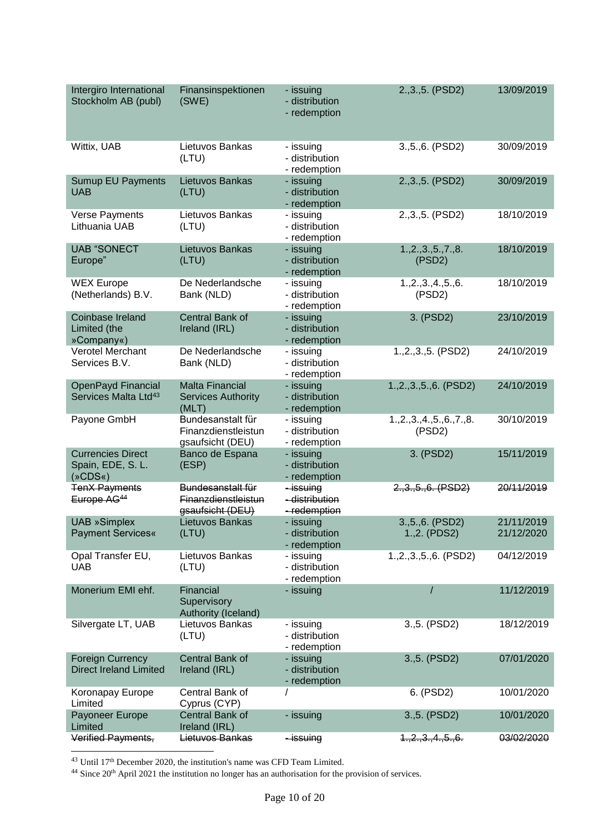| Intergiro International<br>Stockholm AB (publ)             | Finansinspektionen<br>(SWE)                                  | - issuing<br>- distribution<br>- redemption | 2., 3., 5. (PSD2)                 | 13/09/2019               |
|------------------------------------------------------------|--------------------------------------------------------------|---------------------------------------------|-----------------------------------|--------------------------|
| Wittix, UAB                                                | Lietuvos Bankas<br>(LTU)                                     | - issuing<br>- distribution<br>- redemption | 3., 5., 6. (PSD2)                 | 30/09/2019               |
| <b>Sumup EU Payments</b><br><b>UAB</b>                     | Lietuvos Bankas<br>(LTU)                                     | - issuing<br>- distribution<br>- redemption | 2., 3., 5. (PSD2)                 | 30/09/2019               |
| Verse Payments<br>Lithuania UAB                            | Lietuvos Bankas<br>(LTU)                                     | - issuing<br>- distribution<br>- redemption | 2., 3., 5. (PSD2)                 | 18/10/2019               |
| <b>UAB "SONECT</b><br>Europe"                              | Lietuvos Bankas<br>(LTU)                                     | - issuing<br>- distribution<br>- redemption | 1.,2.,3.,5.,7.,8.<br>(PSD2)       | 18/10/2019               |
| <b>WEX Europe</b><br>(Netherlands) B.V.                    | De Nederlandsche<br>Bank (NLD)                               | - issuing<br>- distribution<br>- redemption | 1.,2.,3.,4.,5.,6.<br>(PSD2)       | 18/10/2019               |
| Coinbase Ireland<br>Limited (the<br>»Company«)             | Central Bank of<br>Ireland (IRL)                             | - issuing<br>- distribution<br>- redemption | 3. (PSD2)                         | 23/10/2019               |
| Verotel Merchant<br>Services B.V.                          | De Nederlandsche<br>Bank (NLD)                               | - issuing<br>- distribution<br>- redemption | 1.,2.,3.,5. (PSD2)                | 24/10/2019               |
| OpenPayd Financial<br>Services Malta Ltd <sup>43</sup>     | <b>Malta Financial</b><br><b>Services Authority</b><br>(MLT) | - issuing<br>- distribution<br>- redemption | 1.,2.,3.,5.,6. (PSD2)             | 24/10/2019               |
| Payone GmbH                                                | Bundesanstalt für<br>Finanzdienstleistun<br>gsaufsicht (DEU) | - issuing<br>- distribution<br>- redemption | 1, 2, 3, 4, 5, 6, 7, 8.<br>(PSD2) | 30/10/2019               |
| <b>Currencies Direct</b><br>Spain, EDE, S. L.<br>$(*CDS*)$ | Banco de Espana<br>(ESP)                                     | - issuing<br>- distribution<br>- redemption | 3. (PSD2)                         | 15/11/2019               |
| <b>TenX Payments</b><br>Europe AG <sup>44</sup>            | Bundesanstalt für<br>Finanzdienstleistun<br>gsaufsicht (DEU) | - issuing<br>- distribution<br>-redemption  | 2.,3.,5.,6. (PSD2)                | 20/11/2019               |
| <b>UAB »Simplex</b><br><b>Payment Services«</b>            | Lietuvos Bankas<br>(LTU)                                     | - issuing<br>- distribution<br>- redemption | 3., 5., 6. (PSD2)<br>1.,2. (PDS2) | 21/11/2019<br>21/12/2020 |
| Opal Transfer EU,<br><b>UAB</b>                            | Lietuvos Bankas<br>(LTU)                                     | - issuing<br>- distribution<br>- redemption | 1.,2.,3.,5.,6. (PSD2)             | 04/12/2019               |
| Monerium EMI ehf.                                          | Financial<br>Supervisory<br>Authority (Iceland)              | - issuing                                   |                                   | 11/12/2019               |
| Silvergate LT, UAB                                         | Lietuvos Bankas<br>(LTU)                                     | - issuing<br>- distribution<br>- redemption | 3.,5. (PSD2)                      | 18/12/2019               |
| <b>Foreign Currency</b><br><b>Direct Ireland Limited</b>   | Central Bank of<br>Ireland (IRL)                             | - issuing<br>- distribution<br>- redemption | 3., 5. (PSD2)                     | 07/01/2020               |
| Koronapay Europe<br>Limited                                | Central Bank of<br>Cyprus (CYP)                              |                                             | 6. (PSD2)                         | 10/01/2020               |
| Payoneer Europe<br>Limited                                 | Central Bank of<br>Ireland (IRL)                             | - issuing                                   | 3., 5. (PSD2)                     | 10/01/2020               |
| Verified Payments,                                         | Lietuvos Bankas                                              | <del>- issuing</del>                        | 1, 2, 3, 4, 5, 6.                 | 03/02/2020               |

<sup>&</sup>lt;sup>43</sup> Until 17<sup>th</sup> December 2020, the institution's name was CFD Team Limited.

 $44$  Since 20<sup>th</sup> April 2021 the institution no longer has an authorisation for the provision of services.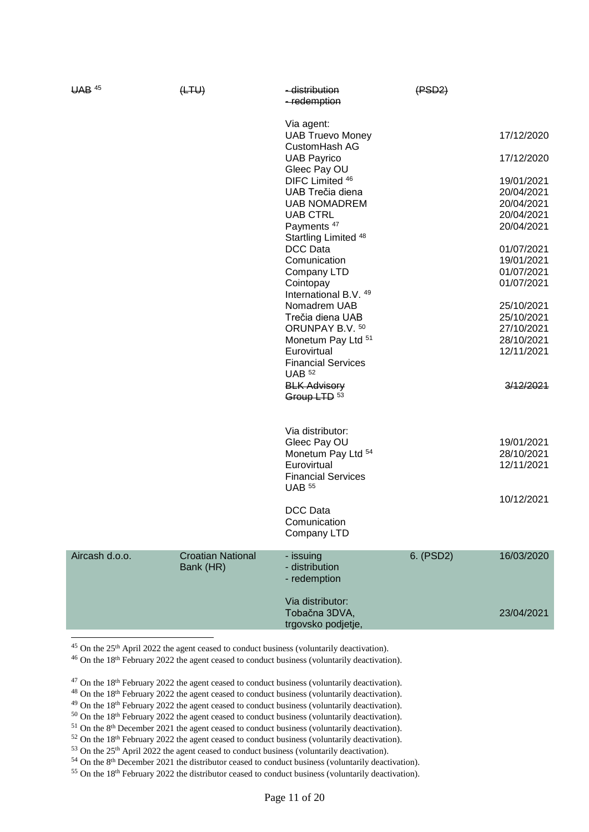| <b>UAB</b> 45  | (HTW)                    | - distribution<br>-redemption                          | (FSD2)    |            |
|----------------|--------------------------|--------------------------------------------------------|-----------|------------|
|                |                          | Via agent:<br><b>UAB Truevo Money</b><br>CustomHash AG |           | 17/12/2020 |
|                |                          | <b>UAB Payrico</b><br>Gleec Pay OU                     |           | 17/12/2020 |
|                |                          | DIFC Limited 46                                        |           | 19/01/2021 |
|                |                          | UAB Trečia diena                                       |           | 20/04/2021 |
|                |                          | <b>UAB NOMADREM</b>                                    |           | 20/04/2021 |
|                |                          | <b>UAB CTRL</b>                                        |           | 20/04/2021 |
|                |                          | Payments <sup>47</sup><br>Startling Limited 48         |           | 20/04/2021 |
|                |                          | <b>DCC Data</b>                                        |           | 01/07/2021 |
|                |                          | Comunication                                           |           | 19/01/2021 |
|                |                          | Company LTD                                            |           | 01/07/2021 |
|                |                          | Cointopay<br>International B.V. 49                     |           | 01/07/2021 |
|                |                          | Nomadrem UAB                                           |           | 25/10/2021 |
|                |                          | Trečia diena UAB                                       |           | 25/10/2021 |
|                |                          | ORUNPAY B.V. 50                                        |           | 27/10/2021 |
|                |                          | Monetum Pay Ltd 51                                     |           | 28/10/2021 |
|                |                          | Eurovirtual                                            |           | 12/11/2021 |
|                |                          | <b>Financial Services</b><br><b>UAB</b> 52             |           |            |
|                |                          | <b>BLK Advisory</b>                                    |           | 3/12/2021  |
|                |                          | Group LTD 53                                           |           |            |
|                |                          |                                                        |           |            |
|                |                          | Via distributor:                                       |           |            |
|                |                          | Gleec Pay OU                                           |           | 19/01/2021 |
|                |                          | Monetum Pay Ltd 54                                     |           | 28/10/2021 |
|                |                          | Eurovirtual                                            |           | 12/11/2021 |
|                |                          | <b>Financial Services</b><br><b>UAB 55</b>             |           |            |
|                |                          |                                                        |           | 10/12/2021 |
|                |                          | <b>DCC Data</b>                                        |           |            |
|                |                          | Comunication                                           |           |            |
|                |                          | Company LTD                                            |           |            |
| Aircash d.o.o. | <b>Croatian National</b> | - issuing                                              | 6. (PSD2) | 16/03/2020 |
|                | Bank (HR)                | - distribution                                         |           |            |
|                |                          | - redemption                                           |           |            |
|                |                          |                                                        |           |            |
|                |                          | Via distributor:                                       |           |            |
|                |                          | Tobačna 3DVA,                                          |           | 23/04/2021 |
|                |                          | trgovsko podjetje,                                     |           |            |
|                |                          |                                                        |           |            |

<sup>45</sup> On the 25<sup>th</sup> April 2022 the agent ceased to conduct business (voluntarily deactivation).

 $46$  On the 18<sup>th</sup> February 2022 the agent ceased to conduct business (voluntarily deactivation).

 $47$  On the 18<sup>th</sup> February 2022 the agent ceased to conduct business (voluntarily deactivation).

<sup>48</sup> On the 18<sup>th</sup> February 2022 the agent ceased to conduct business (voluntarily deactivation).

<sup>49</sup> On the 18<sup>th</sup> February 2022 the agent ceased to conduct business (voluntarily deactivation).

<sup>50</sup> On the 18<sup>th</sup> February 2022 the agent ceased to conduct business (voluntarily deactivation).

<sup>51</sup> On the 8<sup>th</sup> December 2021 the agent ceased to conduct business (voluntarily deactivation).

<sup>52</sup> On the 18<sup>th</sup> February 2022 the agent ceased to conduct business (voluntarily deactivation).

<sup>53</sup> On the 25<sup>th</sup> April 2022 the agent ceased to conduct business (voluntarily deactivation).

<sup>54</sup> On the 8<sup>th</sup> December 2021 the distributor ceased to conduct business (voluntarily deactivation).

 $55$  On the 18<sup>th</sup> February 2022 the distributor ceased to conduct business (voluntarily deactivation).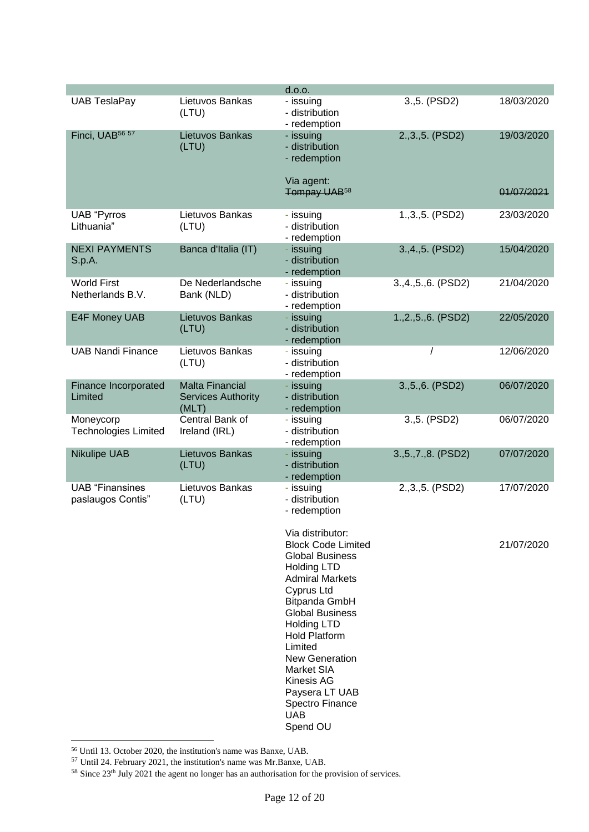|                                             |                                                              | d.o.o.                                                                                                                                                                                                                                                                                                                                                                      |                       |            |
|---------------------------------------------|--------------------------------------------------------------|-----------------------------------------------------------------------------------------------------------------------------------------------------------------------------------------------------------------------------------------------------------------------------------------------------------------------------------------------------------------------------|-----------------------|------------|
| <b>UAB TeslaPay</b>                         | Lietuvos Bankas<br>(LTU)                                     | - issuing<br>- distribution<br>- redemption                                                                                                                                                                                                                                                                                                                                 | 3.,5. (PSD2)          | 18/03/2020 |
| Finci, UAB <sup>56 57</sup>                 | Lietuvos Bankas<br>(LTU)                                     | - issuing<br>- distribution<br>- redemption                                                                                                                                                                                                                                                                                                                                 | 2., 3., 5. (PSD2)     | 19/03/2020 |
|                                             |                                                              | Via agent:<br>Tompay UAB <sup>58</sup>                                                                                                                                                                                                                                                                                                                                      |                       | 01/07/2021 |
| <b>UAB</b> "Pyrros<br>Lithuania"            | Lietuvos Bankas<br>(LTU)                                     | - issuing<br>- distribution<br>- redemption                                                                                                                                                                                                                                                                                                                                 | 1., 3., 5. (PSD2)     | 23/03/2020 |
| <b>NEXI PAYMENTS</b><br>S.p.A.              | Banca d'Italia (IT)                                          | - issuing<br>- distribution<br>- redemption                                                                                                                                                                                                                                                                                                                                 | 3., 4., 5. (PSD2)     | 15/04/2020 |
| <b>World First</b><br>Netherlands B.V.      | De Nederlandsche<br>Bank (NLD)                               | - issuing<br>- distribution<br>- redemption                                                                                                                                                                                                                                                                                                                                 | 3.,4.,5.,6. (PSD2)    | 21/04/2020 |
| E4F Money UAB                               | Lietuvos Bankas<br>(LTU)                                     | - issuing<br>- distribution<br>- redemption                                                                                                                                                                                                                                                                                                                                 | 1.,2.,5.,6. (PSD2)    | 22/05/2020 |
| <b>UAB Nandi Finance</b>                    | Lietuvos Bankas<br>(LTU)                                     | - issuing<br>- distribution<br>- redemption                                                                                                                                                                                                                                                                                                                                 |                       | 12/06/2020 |
| Finance Incorporated<br>Limited             | <b>Malta Financial</b><br><b>Services Authority</b><br>(MLT) | - issuing<br>- distribution<br>- redemption                                                                                                                                                                                                                                                                                                                                 | 3., 5., 6. (PSD2)     | 06/07/2020 |
| Moneycorp<br><b>Technologies Limited</b>    | Central Bank of<br>Ireland (IRL)                             | - issuing<br>- distribution<br>- redemption                                                                                                                                                                                                                                                                                                                                 | 3.,5. (PSD2)          | 06/07/2020 |
| <b>Nikulipe UAB</b>                         | Lietuvos Bankas<br>(LTU)                                     | - issuing<br>- distribution<br>- redemption                                                                                                                                                                                                                                                                                                                                 | 3., 5., 7., 8. (PSD2) | 07/07/2020 |
| <b>UAB</b> "Finansines<br>paslaugos Contis" | Lietuvos Bankas<br>(LTU)                                     | - issuing<br>- distribution<br>- redemption                                                                                                                                                                                                                                                                                                                                 | 2., 3., 5. (PSD2)     | 17/07/2020 |
|                                             |                                                              | Via distributor:<br><b>Block Code Limited</b><br><b>Global Business</b><br><b>Holding LTD</b><br><b>Admiral Markets</b><br>Cyprus Ltd<br>Bitpanda GmbH<br><b>Global Business</b><br><b>Holding LTD</b><br><b>Hold Platform</b><br>Limited<br><b>New Generation</b><br>Market SIA<br><b>Kinesis AG</b><br>Paysera LT UAB<br><b>Spectro Finance</b><br><b>UAB</b><br>Spend OU |                       | 21/07/2020 |

1 <sup>56</sup> Until 13. October 2020, the institution's name was Banxe, UAB.

<sup>57</sup> Until 24. February 2021, the institution's name was Mr.Banxe, UAB.

 $58$  Since 23<sup>th</sup> July 2021 the agent no longer has an authorisation for the provision of services.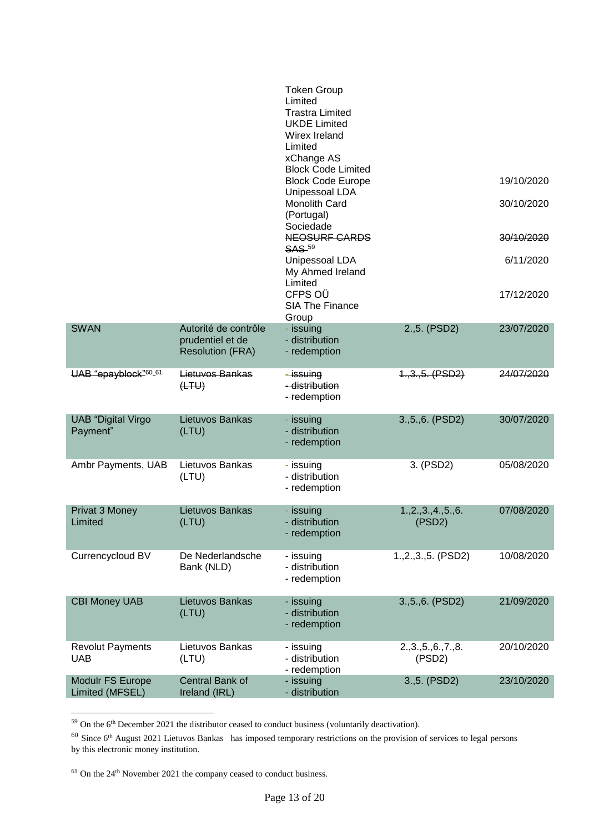|                                       |                                                                     | <b>Token Group</b><br>Limited<br><b>Trastra Limited</b><br><b>UKDE Limited</b><br>Wirex Ireland<br>Limited<br>xChange AS |                             |            |
|---------------------------------------|---------------------------------------------------------------------|--------------------------------------------------------------------------------------------------------------------------|-----------------------------|------------|
|                                       |                                                                     | <b>Block Code Limited</b><br><b>Block Code Europe</b><br>Unipessoal LDA                                                  |                             | 19/10/2020 |
|                                       |                                                                     | Monolith Card<br>(Portugal)                                                                                              |                             | 30/10/2020 |
|                                       |                                                                     | Sociedade<br>NEOSURF CARDS<br><b>SAS</b> -59                                                                             |                             | 30/10/2020 |
|                                       |                                                                     | Unipessoal LDA<br>My Ahmed Ireland<br>Limited                                                                            |                             | 6/11/2020  |
|                                       |                                                                     | CFPS OÜ<br><b>SIA The Finance</b><br>Group                                                                               |                             | 17/12/2020 |
| <b>SWAN</b>                           | Autorité de contrôle<br>prudentiel et de<br><b>Resolution (FRA)</b> | - issuing<br>- distribution<br>- redemption                                                                              | 2.,5. (PSD2)                | 23/07/2020 |
| UAB "epayblock" <sup>60_61</sup>      | Lietuvos Bankas<br>(HTW)                                            | -issuing<br>- distribution<br>-redemption                                                                                | $1, 3, 5.$ (PSD2)           | 24/07/2020 |
| <b>UAB</b> "Digital Virgo<br>Payment" | Lietuvos Bankas<br>(LTU)                                            | - issuing<br>- distribution<br>- redemption                                                                              | 3., 5., 6. (PSD2)           | 30/07/2020 |
| Ambr Payments, UAB                    | Lietuvos Bankas<br>(LTU)                                            | - issuing<br>- distribution<br>- redemption                                                                              | 3. (PSD2)                   | 05/08/2020 |
| Privat 3 Money<br>Limited             | Lietuvos Bankas<br>(LTU)                                            | - issuing<br>- distribution<br>- redemption                                                                              | 1.,2.,3.,4.,5.,6.<br>(PSD2) | 07/08/2020 |
| Currencycloud BV                      | De Nederlandsche<br>Bank (NLD)                                      | - issuing<br>- distribution<br>- redemption                                                                              | $1.,2.,3.,5.$ (PSD2)        | 10/08/2020 |
| <b>CBI Money UAB</b>                  | Lietuvos Bankas<br>(LTU)                                            | - issuing<br>- distribution<br>- redemption                                                                              | 3., 5., 6. (PSD2)           | 21/09/2020 |
| <b>Revolut Payments</b><br><b>UAB</b> | Lietuvos Bankas<br>(LTU)                                            | - issuing<br>- distribution<br>- redemption                                                                              | 2.,3.,5.,6.,7.,8.<br>(PSD2) | 20/10/2020 |
| Modulr FS Europe<br>Limited (MFSEL)   | Central Bank of<br>Ireland (IRL)                                    | - issuing<br>- distribution                                                                                              | 3., 5. (PSD2)               | 23/10/2020 |

 $59$  On the 6<sup>th</sup> December 2021 the distributor ceased to conduct business (voluntarily deactivation).

 $60$  Since  $6<sup>th</sup>$  August 2021 Lietuvos Bankas has imposed temporary restrictions on the provision of services to legal persons by this electronic money institution.

 $61$  On the  $24<sup>th</sup>$  November 2021 the company ceased to conduct business.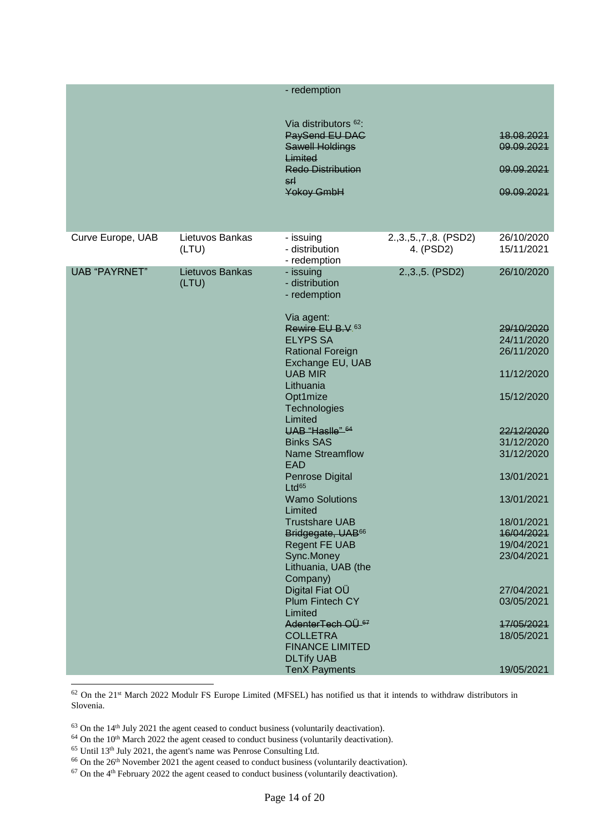|                      |                          | - redemption                                                                                                                                    |                                        |                                                      |
|----------------------|--------------------------|-------------------------------------------------------------------------------------------------------------------------------------------------|----------------------------------------|------------------------------------------------------|
|                      |                          | Via distributors <sup>62</sup> :<br>PaySend EU DAG<br><b>Sawell Holdings</b><br>Limited<br><b>Redo Distribution</b><br>s٢l<br><b>Yokoy GmbH</b> |                                        | 18.08.2021<br>09.09.2021<br>09.09.2021<br>09.09.2021 |
| Curve Europe, UAB    | Lietuvos Bankas<br>(LTU) | - issuing<br>- distribution<br>- redemption                                                                                                     | 2., 3., 5., 7., 8. (PSD2)<br>4. (PSD2) | 26/10/2020<br>15/11/2021                             |
| <b>UAB "PAYRNET"</b> | Lietuvos Bankas<br>(LTU) | - issuing<br>- distribution<br>- redemption                                                                                                     | 2., 3., 5. (PSD2)                      | 26/10/2020                                           |
|                      |                          | Via agent:<br>Rewire EU B.V. <sup>63</sup><br><b>ELYPS SA</b><br><b>Rational Foreign</b><br>Exchange EU, UAB                                    |                                        | 29/10/2020<br>24/11/2020<br>26/11/2020               |
|                      |                          | <b>UAB MIR</b><br>Lithuania                                                                                                                     |                                        | 11/12/2020                                           |
|                      |                          | Opt1mize<br>Technologies<br>Limited                                                                                                             |                                        | 15/12/2020                                           |
|                      |                          | UAB "Haslle" 64<br><b>Binks SAS</b><br><b>Name Streamflow</b><br><b>EAD</b>                                                                     |                                        | 22/12/2020<br>31/12/2020<br>31/12/2020               |
|                      |                          | <b>Penrose Digital</b><br>Ltd <sup>65</sup>                                                                                                     |                                        | 13/01/2021                                           |
|                      |                          | <b>Wamo Solutions</b><br>Limited                                                                                                                |                                        | 13/01/2021                                           |
|                      |                          | <b>Trustshare UAB</b><br>Bridgegate, UAB <sup>66</sup><br><b>Regent FE UAB</b><br>Sync.Money<br>Lithuania, UAB (the<br>Company)                 |                                        | 18/01/2021<br>16/04/2021<br>19/04/2021<br>23/04/2021 |
|                      |                          | Digital Fiat OÜ<br>Plum Fintech CY                                                                                                              |                                        | 27/04/2021<br>03/05/2021                             |
|                      |                          | Limited<br>AdenterTech OU <sup>67</sup><br><b>COLLETRA</b><br><b>FINANCE LIMITED</b><br><b>DLTify UAB</b>                                       |                                        | 17/05/2021<br>18/05/2021                             |
|                      |                          | <b>TenX Payments</b>                                                                                                                            |                                        | 19/05/2021                                           |

 $62$  On the 21<sup>st</sup> March 2022 Modulr FS Europe Limited (MFSEL) has notified us that it intends to withdraw distributors in Slovenia.

- $63$  On the 14<sup>th</sup> July 2021 the agent ceased to conduct business (voluntarily deactivation).
- <sup>64</sup> On the 10<sup>th</sup> March 2022 the agent ceased to conduct business (voluntarily deactivation).
- <sup>65</sup> Until 13th July 2021, the agent's name was Penrose Consulting Ltd.
- $66$  On the  $26<sup>th</sup>$  November 2021 the agent ceased to conduct business (voluntarily deactivation).

 $67$  On the  $4<sup>th</sup>$  February 2022 the agent ceased to conduct business (voluntarily deactivation).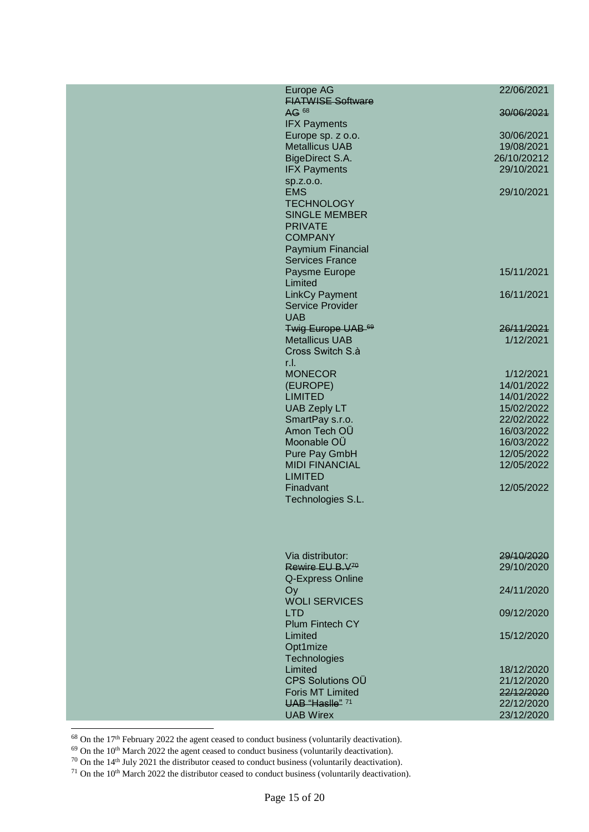| Europe AG                                 | 22/06/2021               |
|-------------------------------------------|--------------------------|
| <b>FIATWISE Software</b>                  |                          |
| AG 68                                     | 30/06/2021               |
| <b>IFX Payments</b>                       |                          |
| Europe sp. z o.o.                         | 30/06/2021               |
| <b>Metallicus UAB</b>                     | 19/08/2021               |
| BigeDirect S.A.                           | 26/10/20212              |
| <b>IFX Payments</b>                       | 29/10/2021               |
| sp.z.o.o.                                 |                          |
| <b>EMS</b>                                | 29/10/2021               |
| <b>TECHNOLOGY</b><br><b>SINGLE MEMBER</b> |                          |
| <b>PRIVATE</b>                            |                          |
| <b>COMPANY</b>                            |                          |
| Paymium Financial                         |                          |
| <b>Services France</b>                    |                          |
| Paysme Europe                             | 15/11/2021               |
| Limited                                   |                          |
| <b>LinkCy Payment</b>                     | 16/11/2021               |
| <b>Service Provider</b>                   |                          |
| <b>UAB</b>                                |                          |
| Twig Europe UAB-69                        | 26/11/2021               |
| <b>Metallicus UAB</b>                     | 1/12/2021                |
| Cross Switch S.à                          |                          |
| r.I.                                      |                          |
| <b>MONECOR</b>                            | 1/12/2021                |
| (EUROPE)                                  | 14/01/2022               |
| <b>LIMITED</b>                            | 14/01/2022               |
| <b>UAB Zeply LT</b>                       | 15/02/2022               |
| SmartPay s.r.o.                           | 22/02/2022               |
| Amon Tech OÜ                              | 16/03/2022               |
| Moonable OÜ                               | 16/03/2022<br>12/05/2022 |
| Pure Pay GmbH<br><b>MIDI FINANCIAL</b>    | 12/05/2022               |
| <b>LIMITED</b>                            |                          |
| Finadvant                                 | 12/05/2022               |
| Technologies S.L.                         |                          |
|                                           |                          |
|                                           |                          |
|                                           |                          |
|                                           |                          |
| Via distributor:                          | 29/10/2020               |
| Rewire EU B.V <sup>70</sup>               | 29/10/2020               |
| Q-Express Online                          |                          |
| Oy                                        | 24/11/2020               |
| <b>WOLI SERVICES</b>                      |                          |
| <b>LTD</b>                                | 09/12/2020               |
| <b>Plum Fintech CY</b>                    |                          |
| Limited                                   | 15/12/2020               |
| Opt1mize                                  |                          |
| Technologies<br>Limited                   | 18/12/2020               |
| <b>CPS Solutions OÜ</b>                   | 21/12/2020               |
| <b>Foris MT Limited</b>                   | 22/12/2020               |
| UAB "Haslle" 71                           | 22/12/2020               |
| <b>UAB Wirex</b>                          | 23/12/2020               |
|                                           |                          |
|                                           |                          |

<sup>68</sup> On the 17th February 2022 the agent ceased to conduct business (voluntarily deactivation).

 $69$  On the 10<sup>th</sup> March 2022 the agent ceased to conduct business (voluntarily deactivation).

 $70$  On the 14<sup>th</sup> July 2021 the distributor ceased to conduct business (voluntarily deactivation).

 $71$  On the 10<sup>th</sup> March 2022 the distributor ceased to conduct business (voluntarily deactivation).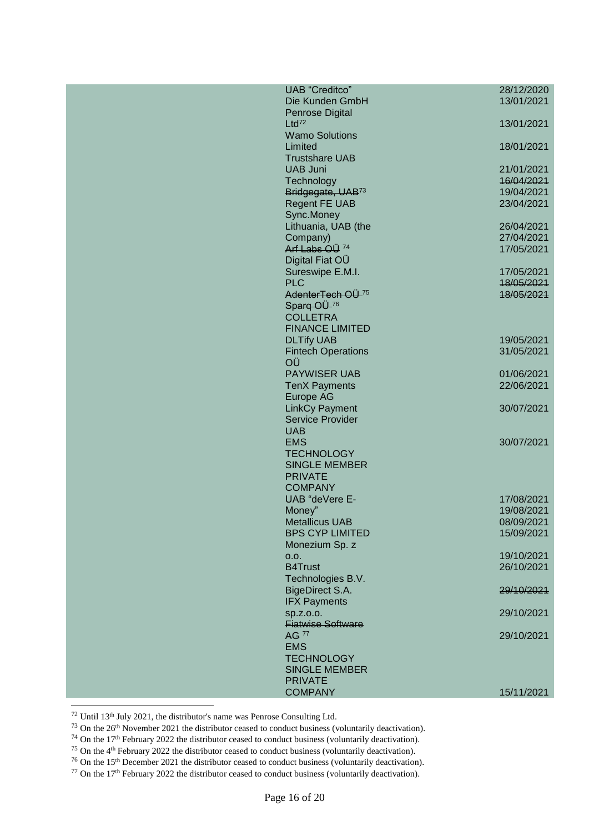| <b>UAB</b> "Creditco"        | 28/12/2020 |
|------------------------------|------------|
|                              |            |
| Die Kunden GmbH              | 13/01/2021 |
| Penrose Digital              |            |
| $Ltd^{72}$                   | 13/01/2021 |
|                              |            |
| <b>Wamo Solutions</b>        |            |
| Limited                      | 18/01/2021 |
|                              |            |
| <b>Trustshare UAB</b>        |            |
| <b>UAB Juni</b>              | 21/01/2021 |
|                              |            |
| Technology                   | 16/04/2021 |
| Bridgegate, UAB73            | 19/04/2021 |
| <b>Regent FE UAB</b>         | 23/04/2021 |
|                              |            |
| Sync.Money                   |            |
| Lithuania, UAB (the          | 26/04/2021 |
|                              |            |
| Company)                     | 27/04/2021 |
| Arf Labs OÜ <sup>74</sup>    | 17/05/2021 |
| Digital Fiat OÜ              |            |
|                              |            |
| Sureswipe E.M.I.             | 17/05/2021 |
| <b>PLC</b>                   | 18/05/2021 |
|                              |            |
| AdenterTech OU <sup>75</sup> | 18/05/2021 |
| Sparq OU-76                  |            |
| <b>COLLETRA</b>              |            |
|                              |            |
| <b>FINANCE LIMITED</b>       |            |
| <b>DLTify UAB</b>            | 19/05/2021 |
|                              |            |
| <b>Fintech Operations</b>    | 31/05/2021 |
| OÜ                           |            |
| <b>PAYWISER UAB</b>          | 01/06/2021 |
|                              |            |
| <b>TenX Payments</b>         | 22/06/2021 |
| Europe AG                    |            |
|                              |            |
| <b>LinkCy Payment</b>        | 30/07/2021 |
| <b>Service Provider</b>      |            |
| <b>UAB</b>                   |            |
|                              |            |
| <b>EMS</b>                   | 30/07/2021 |
| <b>TECHNOLOGY</b>            |            |
|                              |            |
| <b>SINGLE MEMBER</b>         |            |
| <b>PRIVATE</b>               |            |
| <b>COMPANY</b>               |            |
|                              |            |
|                              |            |
| UAB "deVere E-               | 17/08/2021 |
|                              |            |
| Money"                       | 19/08/2021 |
| <b>Metallicus UAB</b>        | 08/09/2021 |
| <b>BPS CYP LIMITED</b>       | 15/09/2021 |
|                              |            |
| Monezium Sp. z               |            |
| 0.0.                         | 19/10/2021 |
|                              |            |
| <b>B4Trust</b>               | 26/10/2021 |
| Technologies B.V.            |            |
| <b>BigeDirect S.A.</b>       | 29/10/2021 |
|                              |            |
| <b>IFX Payments</b>          |            |
| sp.z.o.o.                    | 29/10/2021 |
| <b>Fiatwise Software</b>     |            |
|                              |            |
| AG 77                        | 29/10/2021 |
| <b>EMS</b>                   |            |
|                              |            |
| <b>TECHNOLOGY</b>            |            |
| <b>SINGLE MEMBER</b>         |            |
| <b>PRIVATE</b>               |            |
|                              |            |
| <b>COMPANY</b>               | 15/11/2021 |

 $^{72}$  Until  $13^{\rm th}$  July 2021, the distributor's name was Penrose Consulting Ltd.

 $^{73}$  On the  $26<sup>th</sup>$  November 2021 the distributor ceased to conduct business (voluntarily deactivation).

 $^{74}$  On the 17<sup>th</sup> February 2022 the distributor ceased to conduct business (voluntarily deactivation).

<sup>75</sup> On the 4<sup>th</sup> February 2022 the distributor ceased to conduct business (voluntarily deactivation).

<sup>&</sup>lt;sup>76</sup> On the 15<sup>th</sup> December 2021 the distributor ceased to conduct business (voluntarily deactivation).

 $77$  On the 17<sup>th</sup> February 2022 the distributor ceased to conduct business (voluntarily deactivation).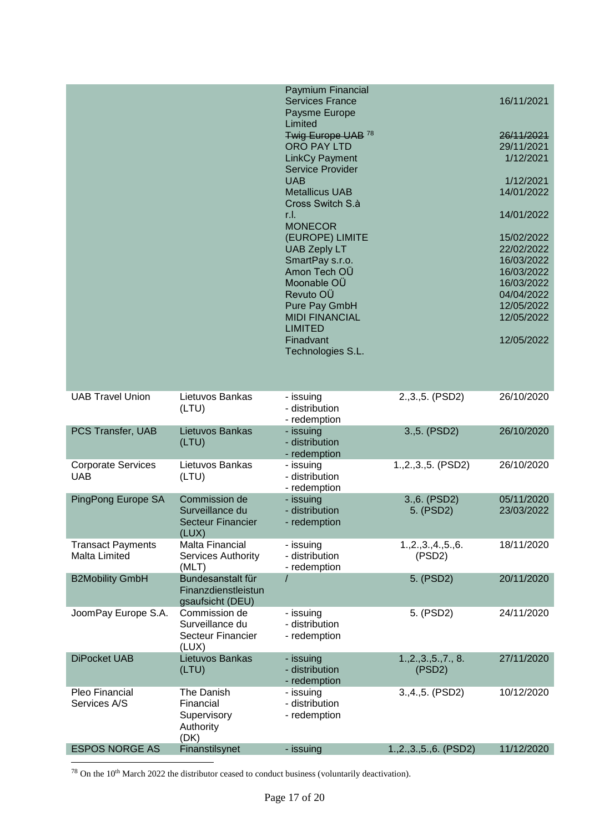|                                           |                                                                       | Paymium Financial<br><b>Services France</b><br>Paysme Europe<br>Limited                                                                                                                             |                             | 16/11/2021                                                                                                                 |
|-------------------------------------------|-----------------------------------------------------------------------|-----------------------------------------------------------------------------------------------------------------------------------------------------------------------------------------------------|-----------------------------|----------------------------------------------------------------------------------------------------------------------------|
|                                           |                                                                       | Twig Europe UAB 78<br><b>ORO PAY LTD</b><br><b>LinkCy Payment</b><br><b>Service Provider</b>                                                                                                        |                             | 26/11/2021<br>29/11/2021<br>1/12/2021                                                                                      |
|                                           |                                                                       | <b>UAB</b><br><b>Metallicus UAB</b><br>Cross Switch S.à                                                                                                                                             |                             | 1/12/2021<br>14/01/2022                                                                                                    |
|                                           |                                                                       | r.l.<br><b>MONECOR</b>                                                                                                                                                                              |                             | 14/01/2022                                                                                                                 |
|                                           |                                                                       | (EUROPE) LIMITE<br><b>UAB Zeply LT</b><br>SmartPay s.r.o.<br>Amon Tech OÜ<br>Moonable OÜ<br>Revuto OÜ<br>Pure Pay GmbH<br><b>MIDI FINANCIAL</b><br><b>LIMITED</b><br>Finadvant<br>Technologies S.L. |                             | 15/02/2022<br>22/02/2022<br>16/03/2022<br>16/03/2022<br>16/03/2022<br>04/04/2022<br>12/05/2022<br>12/05/2022<br>12/05/2022 |
|                                           |                                                                       |                                                                                                                                                                                                     |                             |                                                                                                                            |
| <b>UAB Travel Union</b>                   | Lietuvos Bankas<br>(LTU)                                              | - issuing<br>- distribution<br>- redemption                                                                                                                                                         | $2.,3.,5.$ (PSD2)           | 26/10/2020                                                                                                                 |
| PCS Transfer, UAB                         | Lietuvos Bankas<br>(LTU)                                              | - issuing<br>- distribution<br>- redemption                                                                                                                                                         | 3.,5. (PSD2)                | 26/10/2020                                                                                                                 |
| <b>Corporate Services</b><br><b>UAB</b>   | Lietuvos Bankas<br>(LTU)                                              | - issuing<br>- distribution<br>- redemption                                                                                                                                                         | $1.,2.,3.,5.$ (PSD2)        | 26/10/2020                                                                                                                 |
| PingPong Europe SA                        | Commission de<br>Surveillance du<br><b>Secteur Financier</b><br>(LUX) | - issuing<br>- distribution<br>- redemption                                                                                                                                                         | 3.,6. (PSD2)<br>5. (PSD2)   | 05/11/2020<br>23/03/2022                                                                                                   |
| <b>Transact Payments</b><br>Malta Limited | <b>Malta Financial</b><br>Services Authority<br>(MLT)                 | - issuing<br>- distribution<br>- redemption                                                                                                                                                         | 1.,2.,3.,4.,5.,6.<br>(PSD2) | 18/11/2020                                                                                                                 |
| <b>B2Mobility GmbH</b>                    | Bundesanstalt für<br>Finanzdienstleistun<br>gsaufsicht (DEU)          |                                                                                                                                                                                                     | 5. (PSD2)                   | 20/11/2020                                                                                                                 |
| JoomPay Europe S.A.                       | Commission de<br>Surveillance du<br><b>Secteur Financier</b><br>(LUX) | - issuing<br>- distribution<br>- redemption                                                                                                                                                         | 5. (PSD2)                   | 24/11/2020                                                                                                                 |
| <b>DiPocket UAB</b>                       | Lietuvos Bankas<br>(LTU)                                              | - issuing<br>- distribution<br>- redemption                                                                                                                                                         | 1, 2, 3, 5, 7, 8.<br>(PSD2) | 27/11/2020                                                                                                                 |
| Pleo Financial<br>Services A/S            | The Danish<br>Financial<br>Supervisory<br>Authority<br>(DK)           | - issuing<br>- distribution<br>- redemption                                                                                                                                                         | 3., 4., 5. (PSD2)           | 10/12/2020                                                                                                                 |
| <b>ESPOS NORGE AS</b>                     | Finanstilsynet                                                        | - issuing                                                                                                                                                                                           | 1.,2.,3.,5.,6. (PSD2)       | 11/12/2020                                                                                                                 |

 $^{78}$  On the 10<sup>th</sup> March 2022 the distributor ceased to conduct business (voluntarily deactivation).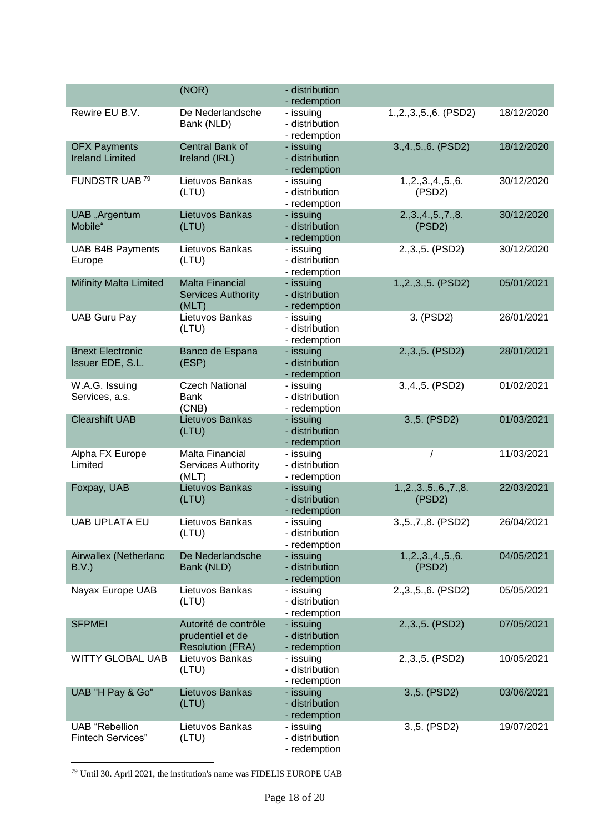|                                                   | (NOR)                                                               | - distribution<br>- redemption              |                                |            |
|---------------------------------------------------|---------------------------------------------------------------------|---------------------------------------------|--------------------------------|------------|
| Rewire EU B.V.                                    | De Nederlandsche<br>Bank (NLD)                                      | - issuing<br>- distribution<br>- redemption | 1.,2.,3.,5.,6. (PSD2)          | 18/12/2020 |
| <b>OFX Payments</b><br><b>Ireland Limited</b>     | Central Bank of<br>Ireland (IRL)                                    | - issuing<br>- distribution<br>- redemption | 3., 4., 5., 6. (PSD2)          | 18/12/2020 |
| FUNDSTR UAB <sup>79</sup>                         | Lietuvos Bankas<br>(LTU)                                            | - issuing<br>- distribution<br>- redemption | 1.,2.,3.,4.,5.,6.<br>(PSD2)    | 30/12/2020 |
| UAB "Argentum<br>Mobile"                          | Lietuvos Bankas<br>(LTU)                                            | - issuing<br>- distribution<br>- redemption | 2.,3.,4.,5.,7.,8.<br>(PSD2)    | 30/12/2020 |
| <b>UAB B4B Payments</b><br>Europe                 | Lietuvos Bankas<br>(LTU)                                            | - issuing<br>- distribution<br>- redemption | 2., 3., 5. (PSD2)              | 30/12/2020 |
| <b>Mifinity Malta Limited</b>                     | <b>Malta Financial</b><br><b>Services Authority</b><br>(MLT)        | - issuing<br>- distribution<br>- redemption | 1., 2., 3., 5. (PSD2)          | 05/01/2021 |
| <b>UAB Guru Pay</b>                               | Lietuvos Bankas<br>(LTU)                                            | - issuing<br>- distribution<br>- redemption | 3. (PSD2)                      | 26/01/2021 |
| <b>Bnext Electronic</b><br>Issuer EDE, S.L.       | Banco de Espana<br>(ESP)                                            | - issuing<br>- distribution<br>- redemption | 2., 3., 5. (PSD2)              | 28/01/2021 |
| W.A.G. Issuing<br>Services, a.s.                  | <b>Czech National</b><br>Bank<br>(CNB)                              | - issuing<br>- distribution<br>- redemption | 3., 4., 5. (PSD2)              | 01/02/2021 |
| <b>Clearshift UAB</b>                             | Lietuvos Bankas<br>(LTU)                                            | - issuing<br>- distribution<br>- redemption | 3., 5. (PSD2)                  | 01/03/2021 |
| Alpha FX Europe<br>Limited                        | Malta Financial<br>Services Authority<br>(MLT)                      | - issuing<br>- distribution<br>- redemption |                                | 11/03/2021 |
| Foxpay, UAB                                       | Lietuvos Bankas<br>(LTU)                                            | - issuing<br>- distribution<br>- redemption | 1, 2, 3, 5, 6, 7, 8.<br>(PSD2) | 22/03/2021 |
| <b>UAB UPLATA EU</b>                              | Lietuvos Bankas<br>(LTU)                                            | - issuing<br>- distribution<br>- redemption | 3., 5., 7., 8. (PSD2)          | 26/04/2021 |
| Airwallex (Netherlanc<br>B.V.                     | De Nederlandsche<br>Bank (NLD)                                      | - issuing<br>- distribution<br>- redemption | 1.,2.,3.,4.,5.,6.<br>(PSD2)    | 04/05/2021 |
| Nayax Europe UAB                                  | Lietuvos Bankas<br>(LTU)                                            | - issuing<br>- distribution<br>- redemption | 2., 3., 5., 6. (PSD2)          | 05/05/2021 |
| <b>SFPMEI</b>                                     | Autorité de contrôle<br>prudentiel et de<br><b>Resolution (FRA)</b> | - issuing<br>- distribution<br>- redemption | 2., 3., 5. (PSD2)              | 07/05/2021 |
| <b>WITTY GLOBAL UAB</b>                           | Lietuvos Bankas<br>(LTU)                                            | - issuing<br>- distribution<br>- redemption | 2., 3., 5. (PSD2)              | 10/05/2021 |
| UAB "H Pay & Go"                                  | Lietuvos Bankas<br>(LTU)                                            | - issuing<br>- distribution<br>- redemption | 3.,5. (PSD2)                   | 03/06/2021 |
| <b>UAB</b> "Rebellion<br><b>Fintech Services"</b> | Lietuvos Bankas<br>(LTU)                                            | - issuing<br>- distribution<br>- redemption | 3.,5. (PSD2)                   | 19/07/2021 |

 $79$  Until 30. April 2021, the institution's name was FIDELIS EUROPE UAB

-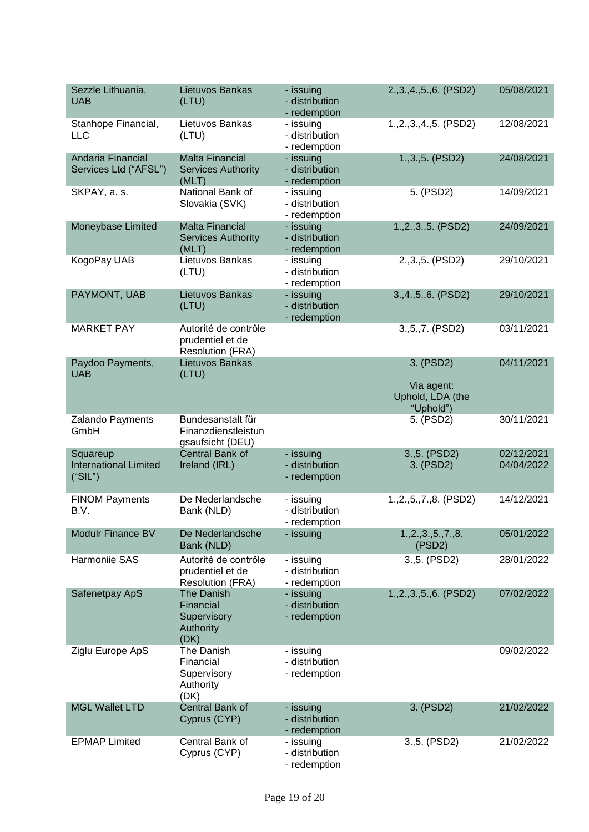| Sezzle Lithuania,<br><b>UAB</b>                     | Lietuvos Bankas<br>(LTU)                                            | - issuing<br>- distribution<br>- redemption | 2., 3., 4., 5., 6. (PSD2)                                | 05/08/2021               |
|-----------------------------------------------------|---------------------------------------------------------------------|---------------------------------------------|----------------------------------------------------------|--------------------------|
| Stanhope Financial,<br><b>LLC</b>                   | Lietuvos Bankas<br>(LTU)                                            | - issuing<br>- distribution<br>- redemption | 1., 2., 3., 4., 5. (PSD2)                                | 12/08/2021               |
| Andaria Financial<br>Services Ltd ("AFSL")          | <b>Malta Financial</b><br><b>Services Authority</b><br>(MLT)        | - issuing<br>- distribution<br>- redemption | 1., 3., 5. (PSD2)                                        | 24/08/2021               |
| SKPAY, a. s.                                        | National Bank of<br>Slovakia (SVK)                                  | - issuing<br>- distribution<br>- redemption | 5. (PSD2)                                                | 14/09/2021               |
| Moneybase Limited                                   | <b>Malta Financial</b><br><b>Services Authority</b><br>(MLT)        | - issuing<br>- distribution<br>- redemption | $1.,2.,3.,5.$ (PSD2)                                     | 24/09/2021               |
| KogoPay UAB                                         | Lietuvos Bankas<br>(LTU)                                            | - issuing<br>- distribution<br>- redemption | 2., 3., 5. (PSD2)                                        | 29/10/2021               |
| PAYMONT, UAB                                        | Lietuvos Bankas<br>(LTU)                                            | - issuing<br>- distribution<br>- redemption | 3.,4.,5.,6. (PSD2)                                       | 29/10/2021               |
| <b>MARKET PAY</b>                                   | Autorité de contrôle<br>prudentiel et de<br><b>Resolution (FRA)</b> |                                             | 3., 5., 7. (PSD2)                                        | 03/11/2021               |
| Paydoo Payments,<br><b>UAB</b>                      | Lietuvos Bankas<br>(LTU)                                            |                                             | 3. (PSD2)<br>Via agent:<br>Uphold, LDA (the<br>"Uphold") | 04/11/2021               |
| Zalando Payments<br>GmbH                            | Bundesanstalt für<br>Finanzdienstleistun<br>gsaufsicht (DEU)        |                                             | 5. (PSD2)                                                | 30/11/2021               |
| Squareup<br><b>International Limited</b><br>("SIL") | Central Bank of<br>Ireland (IRL)                                    | - issuing<br>- distribution<br>- redemption | 3.,5. (PSD2)<br>3. (PSD2)                                | 02/12/2021<br>04/04/2022 |
| <b>FINOM Payments</b><br>B.V.                       | De Nederlandsche<br>Bank (NLD)                                      | - issuing<br>- distribution<br>- redemption | 1., 2., 5., 7., 8. (PSD2)                                | 14/12/2021               |
| <b>Modulr Finance BV</b>                            | De Nederlandsche<br>Bank (NLD)                                      | - issuing                                   | 1, 2, 3, 5, 7, 8.<br>(PSD2)                              | 05/01/2022               |
| Harmoniie SAS                                       | Autorité de contrôle<br>prudentiel et de<br><b>Resolution (FRA)</b> | - issuing<br>- distribution<br>- redemption | 3.,5. (PSD2)                                             | 28/01/2022               |
| Safenetpay ApS                                      | The Danish<br>Financial<br>Supervisory<br>Authority<br>(DK)         | - issuing<br>- distribution<br>- redemption | 1.,2.,3.,5.,6. (PSD2)                                    | 07/02/2022               |
| Ziglu Europe ApS                                    | The Danish<br>Financial<br>Supervisory<br>Authority<br>(DK)         | - issuing<br>- distribution<br>- redemption |                                                          | 09/02/2022               |
| <b>MGL Wallet LTD</b>                               | Central Bank of<br>Cyprus (CYP)                                     | - issuing<br>- distribution<br>- redemption | 3. (PSD2)                                                | 21/02/2022               |
| <b>EPMAP Limited</b>                                | Central Bank of<br>Cyprus (CYP)                                     | - issuing<br>- distribution<br>- redemption | 3.,5. (PSD2)                                             | 21/02/2022               |